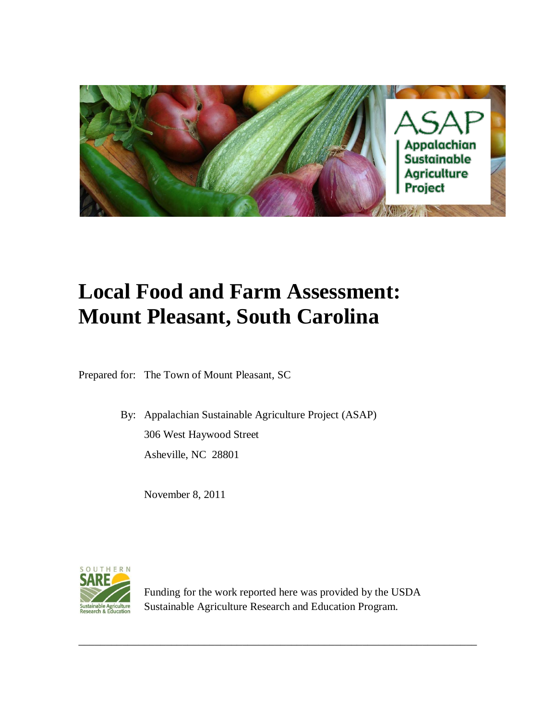

# **Local Food and Farm Assessment: Mount Pleasant, South Carolina**

Prepared for: The Town of Mount Pleasant, SC

By: Appalachian Sustainable Agriculture Project (ASAP) 306 West Haywood Street Asheville, NC 28801

November 8, 2011



Funding for the work reported here was provided by the USDA Sustainable Agriculture Research and Education Program.

\_\_\_\_\_\_\_\_\_\_\_\_\_\_\_\_\_\_\_\_\_\_\_\_\_\_\_\_\_\_\_\_\_\_\_\_\_\_\_\_\_\_\_\_\_\_\_\_\_\_\_\_\_\_\_\_\_\_\_\_\_\_\_\_\_\_\_\_\_\_\_\_\_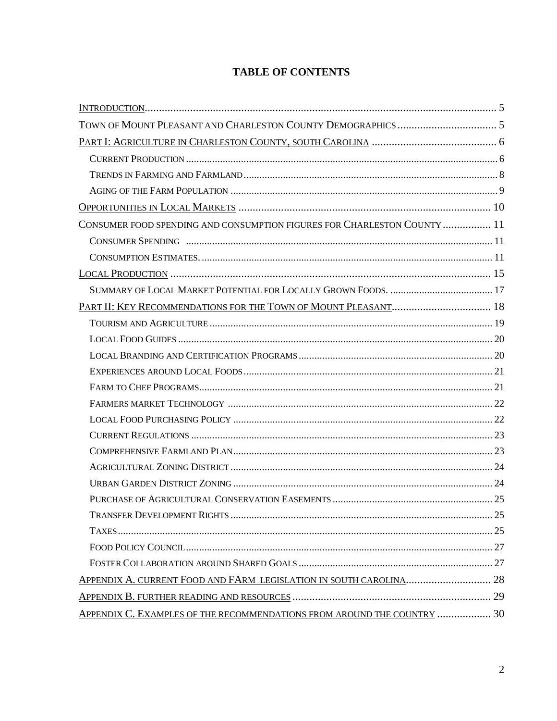# **TABLE OF CONTENTS**

| CONSUMER FOOD SPENDING AND CONSUMPTION FIGURES FOR CHARLESTON COUNTY  11 |  |
|--------------------------------------------------------------------------|--|
|                                                                          |  |
|                                                                          |  |
|                                                                          |  |
|                                                                          |  |
| PART II: KEY RECOMMENDATIONS FOR THE TOWN OF MOUNT PLEASANT 18           |  |
|                                                                          |  |
|                                                                          |  |
|                                                                          |  |
|                                                                          |  |
|                                                                          |  |
|                                                                          |  |
|                                                                          |  |
|                                                                          |  |
|                                                                          |  |
|                                                                          |  |
|                                                                          |  |
|                                                                          |  |
|                                                                          |  |
|                                                                          |  |
|                                                                          |  |
|                                                                          |  |
|                                                                          |  |
|                                                                          |  |
| APPENDIX C. EXAMPLES OF THE RECOMMENDATIONS FROM AROUND THE COUNTRY  30  |  |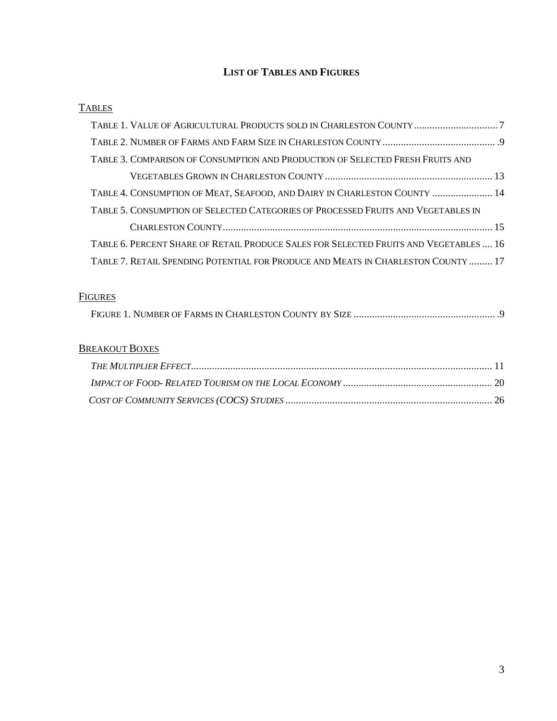# **LIST OF TABLES AND FIGURES**

# **TABLES**

| TABLE 3. COMPARISON OF CONSUMPTION AND PRODUCTION OF SELECTED FRESH FRUITS AND        |
|---------------------------------------------------------------------------------------|
|                                                                                       |
| TABLE 4. CONSUMPTION OF MEAT, SEAFOOD, AND DAIRY IN CHARLESTON COUNTY  14             |
| TABLE 5. CONSUMPTION OF SELECTED CATEGORIES OF PROCESSED FRUITS AND VEGETABLES IN     |
|                                                                                       |
| TABLE 6. PERCENT SHARE OF RETAIL PRODUCE SALES FOR SELECTED FRUITS AND VEGETABLES  16 |
| TABLE 7. RETAIL SPENDING POTENTIAL FOR PRODUCE AND MEATS IN CHARLESTON COUNTY  17     |

# FIGURES

# BREAKOUT BOXES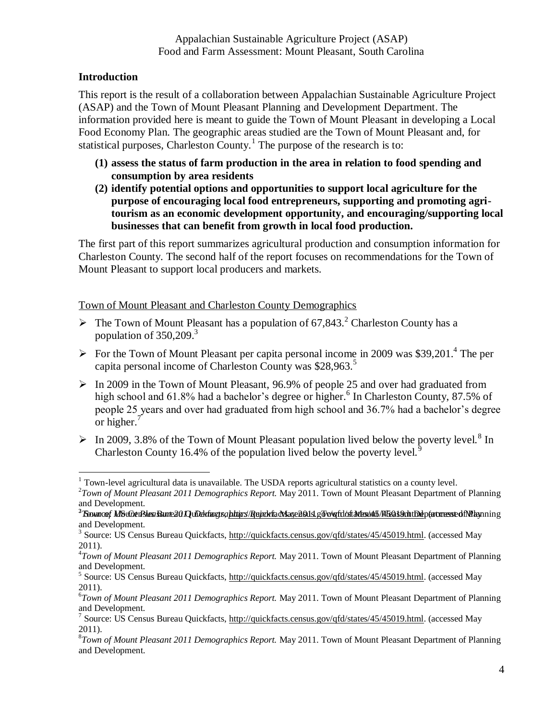#### **Introduction**

This report is the result of a collaboration between Appalachian Sustainable Agriculture Project (ASAP) and the Town of Mount Pleasant Planning and Development Department. The information provided here is meant to guide the Town of Mount Pleasant in developing a Local Food Economy Plan. The geographic areas studied are the Town of Mount Pleasant and, for statistical purposes, Charleston County.<sup>1</sup> The purpose of the research is to:

- **(1) assess the status of farm production in the area in relation to food spending and consumption by area residents**
- **(2) identify potential options and opportunities to support local agriculture for the purpose of encouraging local food entrepreneurs, supporting and promoting agritourism as an economic development opportunity, and encouraging/supporting local businesses that can benefit from growth in local food production.**

The first part of this report summarizes agricultural production and consumption information for Charleston County. The second half of the report focuses on recommendations for the Town of Mount Pleasant to support local producers and markets.

#### Town of Mount Pleasant and Charleston County Demographics

- $\triangleright$  The Town of Mount Pleasant has a population of 67,843.<sup>2</sup> Charleston County has a population of  $350,209$ <sup>3</sup>
- $\triangleright$  For the Town of Mount Pleasant per capita personal income in 2009 was \$39,201.<sup>4</sup> The per capita personal income of Charleston County was \$28,963.<sup>5</sup>
- $\triangleright$  In 2009 in the Town of Mount Pleasant, 96.9% of people 25 and over had graduated from high school and 61.8% had a bachelor's degree or higher.<sup>6</sup> In Charleston County, 87.5% of people 25 years and over had graduated from high school and 36.7% had a bachelor's degree or higher.<sup>7</sup>
- $\triangleright$  In 2009, 3.8% of the Town of Mount Pleasant population lived below the poverty level.<sup>8</sup> In Charleston County 16.4% of the population lived below the poverty level.<sup>9</sup>

 $\overline{a}$  $1$  Town-level agricultural data is unavailable. The USDA reports agricultural statistics on a county level.

<sup>&</sup>lt;sup>2</sup>Town of Mount Pleasant 2011 Demographics Report. May 2011. Town of Mount Pleasant Department of Planning and Development.

<sup>&</sup>lt;sup>3</sup> Sourcef US therRlex Bure20 Quickfacts, http://guickfacts.ac2601s1 gTv/qfd/sfates/45/45019.htmlDep(atcressed Maynning and Development.

<sup>&</sup>lt;sup>3</sup> Source: US Census Bureau Quickfacts[, http://quickfacts.census.gov/qfd/states/45/45019.html.](http://quickfacts.census.gov/qfd/states/45/45019.html) (accessed May 2011).

<sup>&</sup>lt;sup>4</sup>Town of Mount Pleasant 2011 Demographics Report. May 2011. Town of Mount Pleasant Department of Planning and Development.

<sup>&</sup>lt;sup>5</sup> Source: US Census Bureau Quickfacts[, http://quickfacts.census.gov/qfd/states/45/45019.html.](http://quickfacts.census.gov/qfd/states/45/45019.html) (accessed May 2011).

<sup>&</sup>lt;sup>6</sup>Town of Mount Pleasant 2011 Demographics Report. May 2011. Town of Mount Pleasant Department of Planning and Development.

<sup>&</sup>lt;sup>7</sup> Source: US Census Bureau Quickfacts[, http://quickfacts.census.gov/qfd/states/45/45019.html.](http://quickfacts.census.gov/qfd/states/45/45019.html) (accessed May 2011).

<sup>8</sup> *Town of Mount Pleasant 2011 Demographics Report.* May 2011. Town of Mount Pleasant Department of Planning and Development.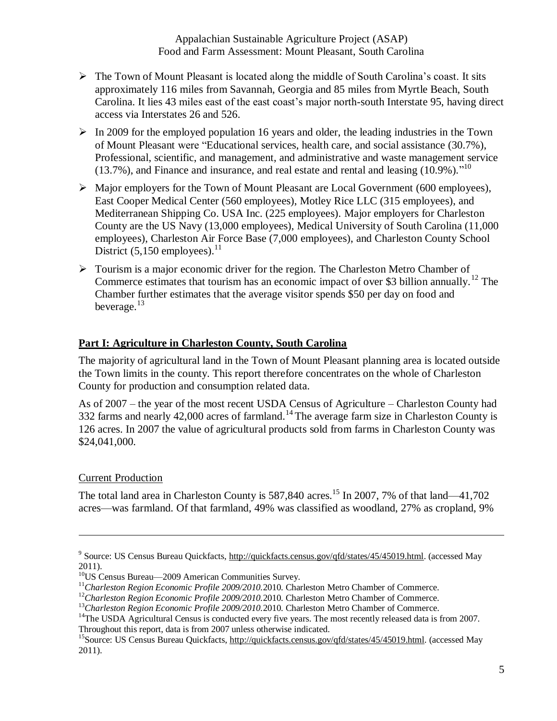- $\triangleright$  The Town of Mount Pleasant is located along the middle of South Carolina's coast. It sits approximately 116 miles from Savannah, Georgia and 85 miles from Myrtle Beach, South Carolina. It lies 43 miles east of the east coast's major north-south Interstate 95, having direct access via Interstates 26 and 526.
- $\triangleright$  In 2009 for the employed population 16 years and older, the leading industries in the Town of Mount Pleasant were "Educational services, health care, and social assistance (30.7%), Professional, scientific, and management, and administrative and waste management service  $(13.7%)$ , and Finance and insurance, and real estate and rental and leasing  $(10.9\%)$ .<sup>10</sup>
- Major employers for the Town of Mount Pleasant are Local Government (600 employees), East Cooper Medical Center (560 employees), Motley Rice LLC (315 employees), and Mediterranean Shipping Co. USA Inc. (225 employees). Major employers for Charleston County are the US Navy (13,000 employees), Medical University of South Carolina (11,000 employees), Charleston Air Force Base (7,000 employees), and Charleston County School District  $(5,150 \text{ employees}).^{11}$
- Tourism is a major economic driver for the region. The Charleston Metro Chamber of Commerce estimates that tourism has an economic impact of over \$3 billion annually.<sup>12</sup> The Chamber further estimates that the average visitor spends \$50 per day on food and beverage. $^{13}$

#### **Part I: Agriculture in Charleston County, South Carolina**

The majority of agricultural land in the Town of Mount Pleasant planning area is located outside the Town limits in the county. This report therefore concentrates on the whole of Charleston County for production and consumption related data.

As of 2007 – the year of the most recent USDA Census of Agriculture – Charleston County had 332 farms and nearly 42,000 acres of farmland.<sup>14</sup> The average farm size in Charleston County is 126 acres. In 2007 the value of agricultural products sold from farms in Charleston County was \$24,041,000.

#### Current Production

 $\overline{a}$ 

The total land area in Charleston County is 587,840 acres.<sup>15</sup> In 2007, 7% of that land—41,702 acres—was farmland. Of that farmland, 49% was classified as woodland, 27% as cropland, 9%

<sup>&</sup>lt;sup>9</sup> Source: US Census Bureau Quickfacts[, http://quickfacts.census.gov/qfd/states/45/45019.html.](http://quickfacts.census.gov/qfd/states/45/45019.html) (accessed May 2011).

<sup>10</sup>US Census Bureau—2009 American Communities Survey.

<sup>&</sup>lt;sup>11</sup>Charleston Region Economic Profile 2009/2010.2010. Charleston Metro Chamber of Commerce.

<sup>&</sup>lt;sup>12</sup>Charleston Region Economic Profile 2009/2010.2010. Charleston Metro Chamber of Commerce.

<sup>&</sup>lt;sup>13</sup>Charleston Region Economic Profile 2009/2010.2010. Charleston Metro Chamber of Commerce.

 $14$ The USDA Agricultural Census is conducted every five years. The most recently released data is from 2007. Throughout this report, data is from 2007 unless otherwise indicated.

<sup>&</sup>lt;sup>15</sup>Source: US Census Bureau Quickfacts, [http://quickfacts.census.gov/qfd/states/45/45019.html.](http://quickfacts.census.gov/qfd/states/45/45019.html) (accessed May 2011).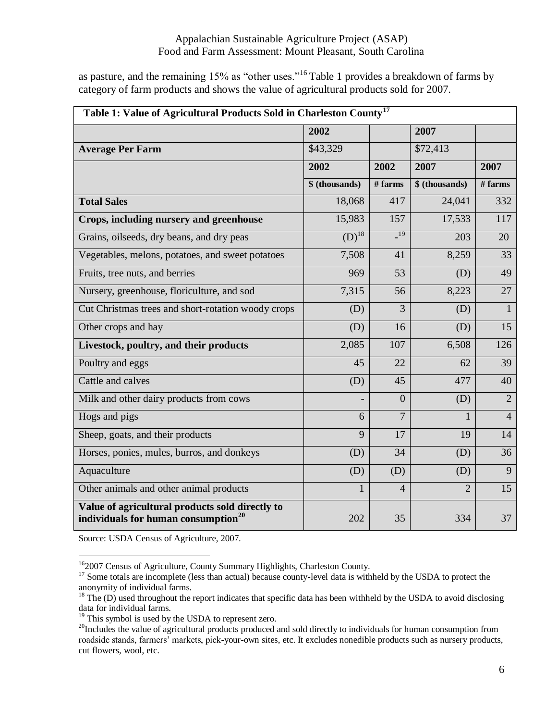as pasture, and the remaining  $15\%$  as "other uses."<sup>16</sup> Table 1 provides a breakdown of farms by category of farm products and shows the value of agricultural products sold for 2007.

| Table 1: Value of Agricultural Products Sold in Charleston County <sup>17</sup>                    |                |                |                |                |  |  |  |
|----------------------------------------------------------------------------------------------------|----------------|----------------|----------------|----------------|--|--|--|
|                                                                                                    | 2002           |                | 2007           |                |  |  |  |
| <b>Average Per Farm</b>                                                                            | \$43,329       |                | \$72,413       |                |  |  |  |
|                                                                                                    | 2002           | 2002           | 2007           | 2007           |  |  |  |
|                                                                                                    | \$ (thousands) | # farms        | \$ (thousands) | # farms        |  |  |  |
| <b>Total Sales</b>                                                                                 | 18,068         | 417            | 24,041         | 332            |  |  |  |
| Crops, including nursery and greenhouse                                                            | 15,983         | 157            | 17,533         | 117            |  |  |  |
| Grains, oilseeds, dry beans, and dry peas                                                          | $(D)^{18}$     | $\frac{19}{2}$ | 203            | 20             |  |  |  |
| Vegetables, melons, potatoes, and sweet potatoes                                                   | 7,508          | 41             | 8,259          | 33             |  |  |  |
| Fruits, tree nuts, and berries                                                                     | 969            | 53             | (D)            | 49             |  |  |  |
| Nursery, greenhouse, floriculture, and sod                                                         | 7,315          | 56             | 8,223          | 27             |  |  |  |
| Cut Christmas trees and short-rotation woody crops                                                 | (D)            | 3              | (D)            | $\mathbf{1}$   |  |  |  |
| Other crops and hay                                                                                | (D)            | 16             | (D)            | 15             |  |  |  |
| Livestock, poultry, and their products                                                             | 2,085          | 107            | 6,508          | 126            |  |  |  |
| Poultry and eggs                                                                                   | 45             | 22             | 62             | 39             |  |  |  |
| Cattle and calves                                                                                  | (D)            | 45             | 477            | 40             |  |  |  |
| Milk and other dairy products from cows                                                            |                | $\Omega$       | (D)            | 2              |  |  |  |
| Hogs and pigs                                                                                      | 6              | 7              |                | $\overline{4}$ |  |  |  |
| Sheep, goats, and their products                                                                   | 9              | 17             | 19             | 14             |  |  |  |
| Horses, ponies, mules, burros, and donkeys                                                         | (D)            | 34             | (D)            | 36             |  |  |  |
| Aquaculture                                                                                        | (D)            | (D)            | (D)            | 9              |  |  |  |
| Other animals and other animal products                                                            | 1              | $\overline{4}$ | $\overline{2}$ | 15             |  |  |  |
| Value of agricultural products sold directly to<br>individuals for human consumption <sup>20</sup> | 202            | 35             | 334            | 37             |  |  |  |

Source: USDA Census of Agriculture, 2007.

 $\overline{a}$ 

<sup>&</sup>lt;sup>16</sup>2007 Census of Agriculture, County Summary Highlights, Charleston County.

<sup>&</sup>lt;sup>17</sup> Some totals are incomplete (less than actual) because county-level data is withheld by the USDA to protect the anonymity of individual farms.

 $18$  The (D) used throughout the report indicates that specific data has been withheld by the USDA to avoid disclosing data for individual farms.

<sup>&</sup>lt;sup>19</sup> This symbol is used by the USDA to represent zero.

<sup>&</sup>lt;sup>20</sup>Includes the value of agricultural products produced and sold directly to individuals for human consumption from roadside stands, farmers' markets, pick-your-own sites, etc. It excludes nonedible products such as nursery products, cut flowers, wool, etc.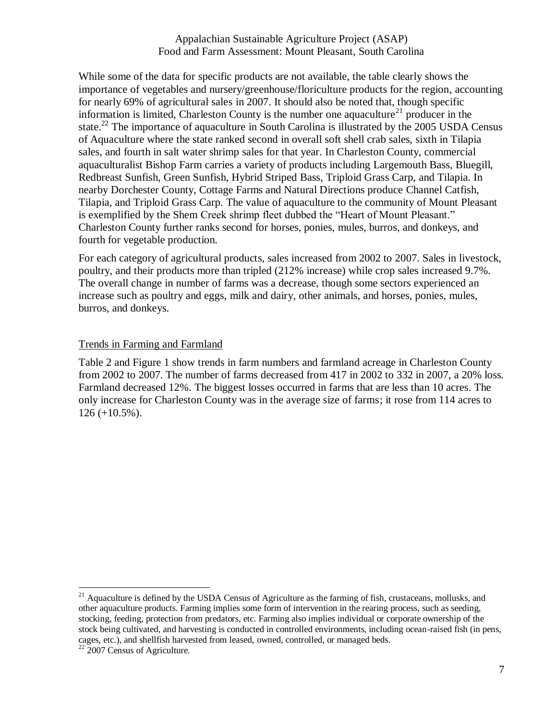While some of the data for specific products are not available, the table clearly shows the importance of vegetables and nursery/greenhouse/floriculture products for the region, accounting for nearly 69% of agricultural sales in 2007. It should also be noted that, though specific information is limited, Charleston County is the number one aquaculture<sup>21</sup> producer in the state.<sup>22</sup> The importance of aquaculture in South Carolina is illustrated by the 2005 USDA Census of Aquaculture where the state ranked second in overall soft shell crab sales, sixth in Tilapia sales, and fourth in salt water shrimp sales for that year. In Charleston County, commercial aquaculturalist Bishop Farm carries a variety of products including Largemouth Bass, Bluegill, Redbreast Sunfish, Green Sunfish, Hybrid Striped Bass, Triploid Grass Carp, and Tilapia. In nearby Dorchester County, Cottage Farms and Natural Directions produce Channel Catfish, Tilapia, and Triploid Grass Carp. The value of aquaculture to the community of Mount Pleasant is exemplified by the Shem Creek shrimp fleet dubbed the "Heart of Mount Pleasant." Charleston County further ranks second for horses, ponies, mules, burros, and donkeys, and fourth for vegetable production.

For each category of agricultural products, sales increased from 2002 to 2007. Sales in livestock, poultry, and their products more than tripled (212% increase) while crop sales increased 9.7%. The overall change in number of farms was a decrease, though some sectors experienced an increase such as poultry and eggs, milk and dairy, other animals, and horses, ponies, mules, burros, and donkeys.

#### Trends in Farming and Farmland

 $\overline{a}$ 

Table 2 and Figure 1 show trends in farm numbers and farmland acreage in Charleston County from 2002 to 2007. The number of farms decreased from 417 in 2002 to 332 in 2007, a 20% loss. Farmland decreased 12%. The biggest losses occurred in farms that are less than 10 acres. The only increase for Charleston County was in the average size of farms; it rose from 114 acres to  $126 (+10.5\%)$ .

 $21$  Aquaculture is defined by the USDA Census of Agriculture as the farming of fish, crustaceans, mollusks, and other aquaculture products. Farming implies some form of intervention in the rearing process, such as seeding, stocking, feeding, protection from predators, etc. Farming also implies individual or corporate ownership of the stock being cultivated, and harvesting is conducted in controlled environments, including ocean-raised fish (in pens, cages, etc.), and shellfish harvested from leased, owned, controlled, or managed beds.  $22$  2007 Census of Agriculture.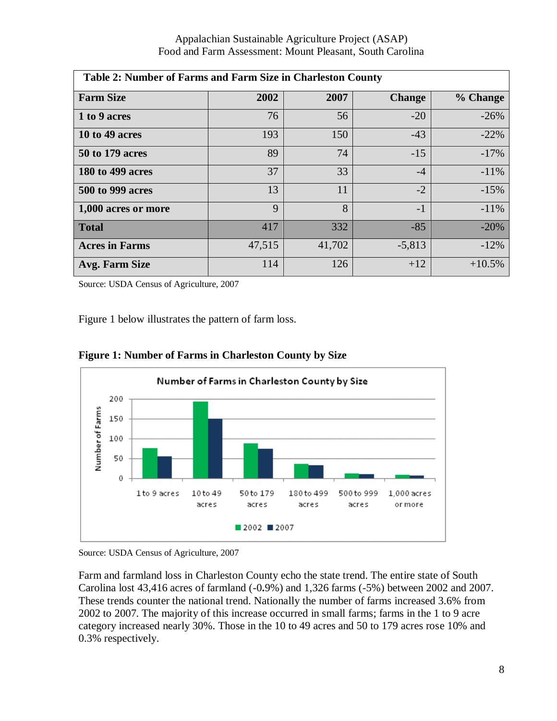| Table 2: Number of Farms and Farm Size in Charleston County |        |        |               |          |  |  |  |
|-------------------------------------------------------------|--------|--------|---------------|----------|--|--|--|
| <b>Farm Size</b>                                            | 2002   | 2007   | <b>Change</b> | % Change |  |  |  |
| 1 to 9 acres                                                | 76     | 56     | $-20$         | $-26%$   |  |  |  |
| <b>10 to 49 acres</b>                                       | 193    | 150    | $-43$         | $-22%$   |  |  |  |
| 50 to 179 acres                                             | 89     | 74     | $-15$         | $-17%$   |  |  |  |
| 180 to 499 acres                                            | 37     | 33     | $-4$          | $-11%$   |  |  |  |
| 500 to 999 acres                                            | 13     | 11     | $-2$          | $-15%$   |  |  |  |
| 1,000 acres or more                                         | 9      | 8      | $-1$          | $-11\%$  |  |  |  |
| <b>Total</b>                                                | 417    | 332    | $-85$         | $-20%$   |  |  |  |
| <b>Acres in Farms</b>                                       | 47,515 | 41,702 | $-5,813$      | $-12%$   |  |  |  |
| Avg. Farm Size                                              | 114    | 126    | $+12$         | $+10.5%$ |  |  |  |

Source: USDA Census of Agriculture, 2007

Figure 1 below illustrates the pattern of farm loss.



#### **Figure 1: Number of Farms in Charleston County by Size**

Source: USDA Census of Agriculture, 2007

Farm and farmland loss in Charleston County echo the state trend. The entire state of South Carolina lost 43,416 acres of farmland (-0**.**9%) and 1,326 farms (-5%) between 2002 and 2007. These trends counter the national trend. Nationally the number of farms increased 3.6% from 2002 to 2007. The majority of this increase occurred in small farms; farms in the 1 to 9 acre category increased nearly 30%. Those in the 10 to 49 acres and 50 to 179 acres rose 10% and 0.3% respectively.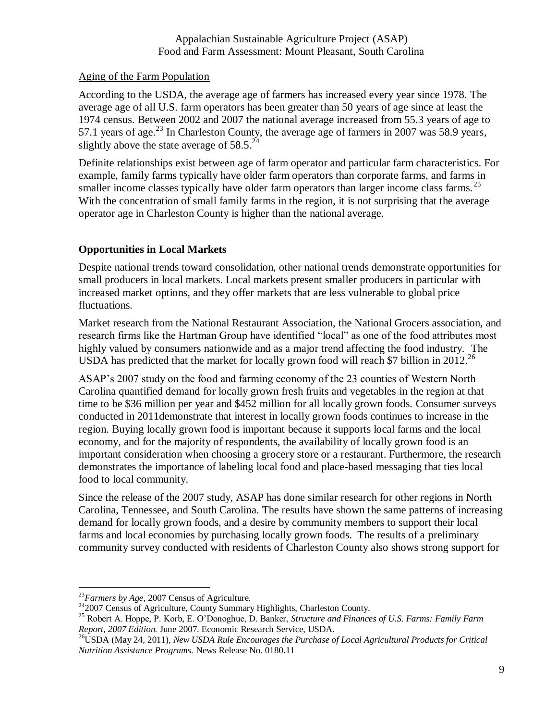#### Aging of the Farm Population

According to the USDA, the average age of farmers has increased every year since 1978. The average age of all U.S. farm operators has been greater than 50 years of age since at least the 1974 census. Between 2002 and 2007 the national average increased from 55.3 years of age to 57.1 years of age.<sup>23</sup> In Charleston County, the average age of farmers in 2007 was 58.9 years, slightly above the state average of  $58.5.^{24}$ 

Definite relationships exist between age of farm operator and particular farm characteristics. For example, family farms typically have older farm operators than corporate farms, and farms in smaller income classes typically have older farm operators than larger income class farms.<sup>25</sup> With the concentration of small family farms in the region, it is not surprising that the average operator age in Charleston County is higher than the national average.

# **Opportunities in Local Markets**

Despite national trends toward consolidation, other national trends demonstrate opportunities for small producers in local markets. Local markets present smaller producers in particular with increased market options, and they offer markets that are less vulnerable to global price fluctuations.

Market research from the National Restaurant Association, the National Grocers association, and research firms like the Hartman Group have identified "local" as one of the food attributes most highly valued by consumers nationwide and as a major trend affecting the food industry. The USDA has predicted that the market for locally grown food will reach \$7 billion in 2012.<sup>26</sup>

ASAP's 2007 study on the food and farming economy of the 23 counties of Western North Carolina quantified demand for locally grown fresh fruits and vegetables in the region at that time to be \$36 million per year and \$452 million for all locally grown foods. Consumer surveys conducted in 2011demonstrate that interest in locally grown foods continues to increase in the region. Buying locally grown food is important because it supports local farms and the local economy, and for the majority of respondents, the availability of locally grown food is an important consideration when choosing a grocery store or a restaurant. Furthermore, the research demonstrates the importance of labeling local food and place-based messaging that ties local food to local community.

Since the release of the 2007 study, ASAP has done similar research for other regions in North Carolina, Tennessee, and South Carolina. The results have shown the same patterns of increasing demand for locally grown foods, and a desire by community members to support their local farms and local economies by purchasing locally grown foods. The results of a preliminary community survey conducted with residents of Charleston County also shows strong support for

 $\overline{a}$ <sup>23</sup>*Farmers by Age,* 2007 Census of Agriculture.

<sup>&</sup>lt;sup>24</sup>2007 Census of Agriculture, County Summary Highlights, Charleston County.

<sup>25</sup> Robert A. Hoppe, P. Korb, E. O'Donoghue, D. Banker, *Structure and Finances of U.S. Farms: Family Farm Report, 2007 Edition.* June 2007. Economic Research Service, USDA.

<sup>&</sup>lt;sup>26</sup>USDA (May 24, 2011), *New USDA Rule Encourages the Purchase of Local Agricultural Products for Critical Nutrition Assistance Programs.* News Release No. 0180.11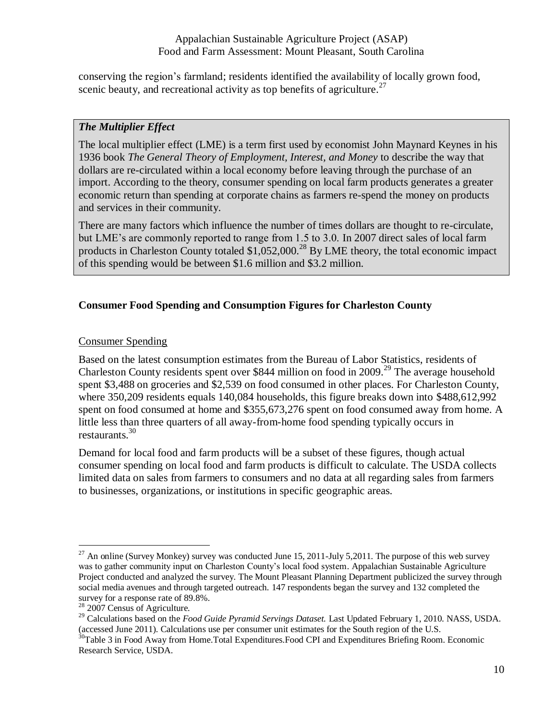conserving the region's farmland; residents identified the availability of locally grown food, scenic beauty, and recreational activity as top benefits of agriculture.<sup>27</sup>

#### *The Multiplier Effect*

The local multiplier effect (LME) is a term first used by economist John Maynard Keynes in his 1936 book *The General Theory of Employment, Interest, and Money* to describe the way that dollars are re-circulated within a local economy before leaving through the purchase of an import. According to the theory, consumer spending on local farm products generates a greater economic return than spending at corporate chains as farmers re-spend the money on products and services in their community.

There are many factors which influence the number of times dollars are thought to re-circulate, but LME's are commonly reported to range from 1.5 to 3.0. In 2007 direct sales of local farm products in Charleston County totaled  $$1,052,000.<sup>28</sup>$  By LME theory, the total economic impact of this spending would be between \$1.6 million and \$3.2 million.

#### **Consumer Food Spending and Consumption Figures for Charleston County**

#### Consumer Spending

Based on the latest consumption estimates from the Bureau of Labor Statistics, residents of Charleston County residents spent over \$844 million on food in 2009.<sup>29</sup> The average household spent \$3,488 on groceries and \$2,539 on food consumed in other places. For Charleston County, where 350,209 residents equals 140,084 households, this figure breaks down into \$488,612,992 spent on food consumed at home and \$355,673,276 spent on food consumed away from home. A little less than three quarters of all away-from-home food spending typically occurs in restaurants.<sup>30</sup>

Demand for local food and farm products will be a subset of these figures, though actual consumer spending on local food and farm products is difficult to calculate. The USDA collects limited data on sales from farmers to consumers and no data at all regarding sales from farmers to businesses, organizations, or institutions in specific geographic areas.

 $\overline{a}$ 

 $27$  An online (Survey Monkey) survey was conducted June 15, 2011-July 5,2011. The purpose of this web survey was to gather community input on Charleston County's local food system. Appalachian Sustainable Agriculture Project conducted and analyzed the survey. The Mount Pleasant Planning Department publicized the survey through social media avenues and through targeted outreach. 147 respondents began the survey and 132 completed the survey for a response rate of 89.8%.

<sup>&</sup>lt;sup>28</sup> 2007 Census of Agriculture.

<sup>&</sup>lt;sup>29</sup> Calculations based on the *Food Guide Pyramid Servings Dataset*. Last Updated February 1, 2010. NASS, USDA. (accessed June 2011). Calculations use per consumer unit estimates for the South region of the U.S.

<sup>&</sup>lt;sup>30</sup>Table 3 in Food Away from Home. Total Expenditures. Food CPI and Expenditures Briefing Room. Economic Research Service, USDA.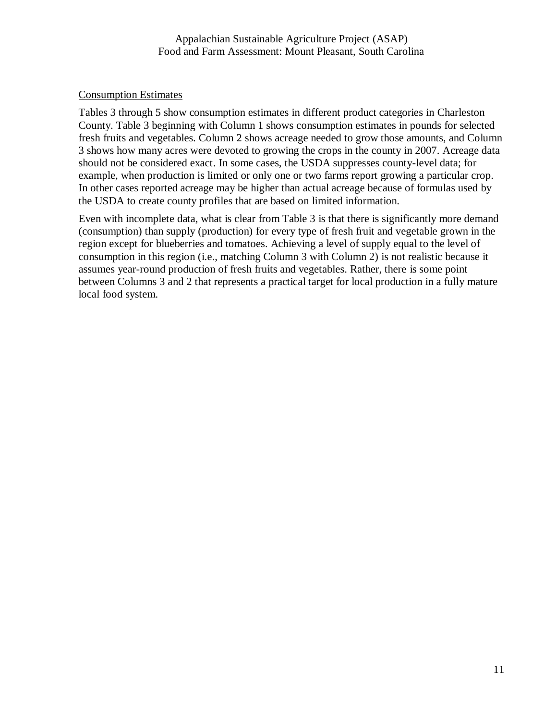#### Consumption Estimates

Tables 3 through 5 show consumption estimates in different product categories in Charleston County. Table 3 beginning with Column 1 shows consumption estimates in pounds for selected fresh fruits and vegetables. Column 2 shows acreage needed to grow those amounts, and Column 3 shows how many acres were devoted to growing the crops in the county in 2007. Acreage data should not be considered exact. In some cases, the USDA suppresses county-level data; for example, when production is limited or only one or two farms report growing a particular crop. In other cases reported acreage may be higher than actual acreage because of formulas used by the USDA to create county profiles that are based on limited information.

Even with incomplete data, what is clear from Table 3 is that there is significantly more demand (consumption) than supply (production) for every type of fresh fruit and vegetable grown in the region except for blueberries and tomatoes. Achieving a level of supply equal to the level of consumption in this region (i.e., matching Column 3 with Column 2) is not realistic because it assumes year-round production of fresh fruits and vegetables. Rather, there is some point between Columns 3 and 2 that represents a practical target for local production in a fully mature local food system.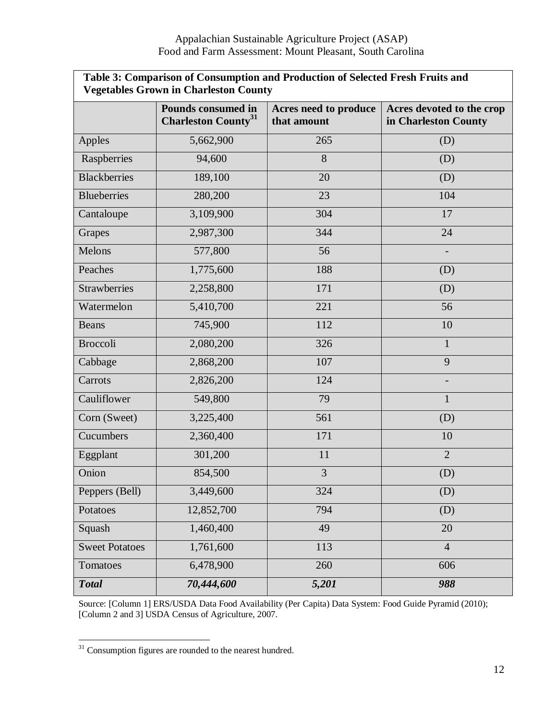|                       | <b>Pounds consumed in</b><br><b>Charleston County</b> <sup>31</sup> | Acres need to produce<br>that amount | Acres devoted to the crop<br>in Charleston County |
|-----------------------|---------------------------------------------------------------------|--------------------------------------|---------------------------------------------------|
| Apples                | 5,662,900                                                           | 265                                  | (D)                                               |
| Raspberries           | 94,600                                                              | 8                                    | (D)                                               |
| <b>Blackberries</b>   | 189,100                                                             | 20                                   | (D)                                               |
| <b>Blueberries</b>    | 280,200                                                             | 23                                   | 104                                               |
| Cantaloupe            | 3,109,900                                                           | 304                                  | 17                                                |
| Grapes                | 2,987,300                                                           | 344                                  | 24                                                |
| Melons                | 577,800                                                             | 56                                   |                                                   |
| Peaches               | 1,775,600                                                           | 188                                  | (D)                                               |
| <b>Strawberries</b>   | 2,258,800                                                           | 171                                  | (D)                                               |
| Watermelon            | 5,410,700                                                           | 221                                  | 56                                                |
| <b>Beans</b>          | 745,900                                                             | 112                                  | 10                                                |
| <b>Broccoli</b>       | 2,080,200                                                           | 326                                  | $\mathbf{1}$                                      |
| Cabbage               | 2,868,200                                                           | 107                                  | 9                                                 |
| Carrots               | 2,826,200                                                           | 124                                  |                                                   |
| Cauliflower           | 549,800                                                             | 79                                   | $\mathbf{1}$                                      |
| Corn (Sweet)          | 3,225,400                                                           | 561                                  | (D)                                               |
| Cucumbers             | 2,360,400                                                           | 171                                  | 10                                                |
| Eggplant              | 301,200                                                             | 11                                   | $\overline{2}$                                    |
| Onion                 | 854,500                                                             | 3                                    | (D)                                               |
| Peppers (Bell)        | 3,449,600                                                           | 324                                  | (D)                                               |
| Potatoes              | 12,852,700                                                          | 794                                  | (D)                                               |
| Squash                | 1,460,400                                                           | 49                                   | 20                                                |
| <b>Sweet Potatoes</b> | 1,761,600                                                           | 113                                  | $\overline{4}$                                    |
| Tomatoes              | 6,478,900                                                           | 260                                  | 606                                               |
| <b>Total</b>          | 70,444,600                                                          | 5,201                                | 988                                               |

# **Table 3: Comparison of Consumption and Production of Selected Fresh Fruits and Vegetables Grown in Charleston County**

Source: [Column 1] ERS/USDA Data Food Availability (Per Capita) Data System: Food Guide Pyramid (2010); [Column 2 and 3] USDA Census of Agriculture, 2007.

 $\overline{a}$ 

 $31$  Consumption figures are rounded to the nearest hundred.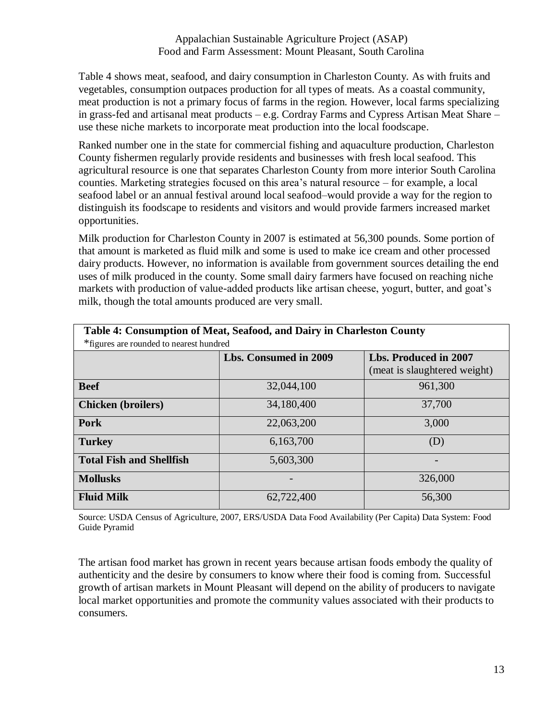Table 4 shows meat, seafood, and dairy consumption in Charleston County. As with fruits and vegetables, consumption outpaces production for all types of meats. As a coastal community, meat production is not a primary focus of farms in the region. However, local farms specializing in grass-fed and artisanal meat products – e.g. Cordray Farms and Cypress Artisan Meat Share – use these niche markets to incorporate meat production into the local foodscape.

Ranked number one in the state for commercial fishing and aquaculture production, Charleston County fishermen regularly provide residents and businesses with fresh local seafood. This agricultural resource is one that separates Charleston County from more interior South Carolina counties. Marketing strategies focused on this area's natural resource – for example, a local seafood label or an annual festival around local seafood–would provide a way for the region to distinguish its foodscape to residents and visitors and would provide farmers increased market opportunities.

Milk production for Charleston County in 2007 is estimated at 56,300 pounds. Some portion of that amount is marketed as fluid milk and some is used to make ice cream and other processed dairy products. However, no information is available from government sources detailing the end uses of milk produced in the county. Some small dairy farmers have focused on reaching niche markets with production of value-added products like artisan cheese, yogurt, butter, and goat's milk, though the total amounts produced are very small.

| Table 4: Consumption of Meat, Seafood, and Dairy in Charleston County<br>*figures are rounded to nearest hundred |                       |                                                       |  |  |  |
|------------------------------------------------------------------------------------------------------------------|-----------------------|-------------------------------------------------------|--|--|--|
|                                                                                                                  | Lbs. Consumed in 2009 | Lbs. Produced in 2007<br>(meat is slaughtered weight) |  |  |  |
| <b>Beef</b>                                                                                                      | 32,044,100            | 961,300                                               |  |  |  |
| <b>Chicken</b> (broilers)                                                                                        | 34,180,400            | 37,700                                                |  |  |  |
| Pork                                                                                                             | 22,063,200            | 3,000                                                 |  |  |  |
| <b>Turkey</b>                                                                                                    | 6,163,700             | (D)                                                   |  |  |  |
| <b>Total Fish and Shellfish</b>                                                                                  | 5,603,300             |                                                       |  |  |  |
| <b>Mollusks</b>                                                                                                  |                       | 326,000                                               |  |  |  |
| <b>Fluid Milk</b>                                                                                                | 62,722,400            | 56,300                                                |  |  |  |

Source: USDA Census of Agriculture, 2007, ERS/USDA Data Food Availability (Per Capita) Data System: Food Guide Pyramid

The artisan food market has grown in recent years because artisan foods embody the quality of authenticity and the desire by consumers to know where their food is coming from. Successful growth of artisan markets in Mount Pleasant will depend on the ability of producers to navigate local market opportunities and promote the community values associated with their products to consumers.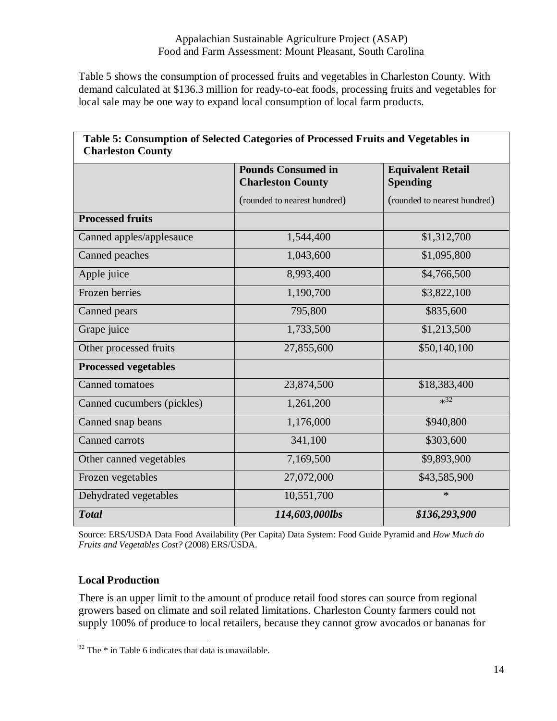Table 5 shows the consumption of processed fruits and vegetables in Charleston County. With demand calculated at \$136.3 million for ready-to-eat foods, processing fruits and vegetables for local sale may be one way to expand local consumption of local farm products.

|                             | <b>Pounds Consumed in</b><br><b>Charleston County</b> | <b>Equivalent Retail</b><br><b>Spending</b> |
|-----------------------------|-------------------------------------------------------|---------------------------------------------|
|                             | (rounded to nearest hundred)                          | (rounded to nearest hundred)                |
| <b>Processed fruits</b>     |                                                       |                                             |
| Canned apples/applesauce    | 1,544,400                                             | \$1,312,700                                 |
| Canned peaches              | 1,043,600                                             | \$1,095,800                                 |
| Apple juice                 | 8,993,400                                             | \$4,766,500                                 |
| Frozen berries              | 1,190,700                                             | \$3,822,100                                 |
| Canned pears                | 795,800                                               | \$835,600                                   |
| Grape juice                 | 1,733,500                                             | \$1,213,500                                 |
| Other processed fruits      | 27,855,600                                            | \$50,140,100                                |
| <b>Processed vegetables</b> |                                                       |                                             |
| <b>Canned</b> tomatoes      | 23,874,500                                            | \$18,383,400                                |
| Canned cucumbers (pickles)  | 1,261,200                                             | $*^{32}$                                    |
| Canned snap beans           | 1,176,000                                             | \$940,800                                   |
| <b>Canned carrots</b>       | 341,100                                               | \$303,600                                   |
| Other canned vegetables     | 7,169,500                                             | \$9,893,900                                 |
| Frozen vegetables           | 27,072,000                                            | \$43,585,900                                |
| Dehydrated vegetables       | 10,551,700                                            | $\ast$                                      |
| <b>Total</b>                | 114,603,000lbs                                        | \$136,293,900                               |

Source: ERS/USDA Data Food Availability (Per Capita) Data System: Food Guide Pyramid and *How Much do Fruits and Vegetables Cost?* (2008) ERS/USDA.

#### **Local Production**

There is an upper limit to the amount of produce retail food stores can source from regional growers based on climate and soil related limitations. Charleston County farmers could not supply 100% of produce to local retailers, because they cannot grow avocados or bananas for

 $\overline{a}$  $32$  The  $*$  in Table 6 indicates that data is unavailable.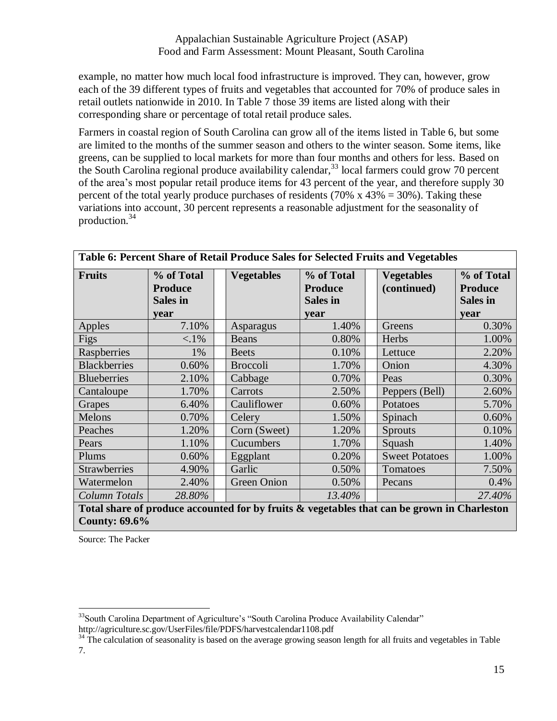example, no matter how much local food infrastructure is improved. They can, however, grow each of the 39 different types of fruits and vegetables that accounted for 70% of produce sales in retail outlets nationwide in 2010. In Table 7 those 39 items are listed along with their corresponding share or percentage of total retail produce sales.

Farmers in coastal region of South Carolina can grow all of the items listed in Table 6, but some are limited to the months of the summer season and others to the winter season. Some items, like greens, can be supplied to local markets for more than four months and others for less. Based on the South Carolina regional produce availability calendar, <sup>33</sup> local farmers could grow 70 percent of the area's most popular retail produce items for 43 percent of the year, and therefore supply 30 percent of the total yearly produce purchases of residents (70%  $x$  43% = 30%). Taking these variations into account, 30 percent represents a reasonable adjustment for the seasonality of production. 34

| Table 6: Percent Share of Retail Produce Sales for Selected Fruits and Vegetables                                   |                                                         |  |                    |                                                         |  |                                  |                                                         |
|---------------------------------------------------------------------------------------------------------------------|---------------------------------------------------------|--|--------------------|---------------------------------------------------------|--|----------------------------------|---------------------------------------------------------|
| <b>Fruits</b>                                                                                                       | % of Total<br><b>Produce</b><br><b>Sales in</b><br>year |  | <b>Vegetables</b>  | % of Total<br><b>Produce</b><br><b>Sales in</b><br>year |  | <b>Vegetables</b><br>(continued) | % of Total<br><b>Produce</b><br><b>Sales in</b><br>year |
| Apples                                                                                                              | 7.10%                                                   |  | Asparagus          | 1.40%                                                   |  | Greens                           | 0.30%                                                   |
| Figs                                                                                                                | $< 1\%$                                                 |  | <b>Beans</b>       | 0.80%                                                   |  | Herbs                            | 1.00%                                                   |
| Raspberries                                                                                                         | 1%                                                      |  | <b>Beets</b>       | 0.10%                                                   |  | Lettuce                          | 2.20%                                                   |
| <b>Blackberries</b>                                                                                                 | 0.60%                                                   |  | <b>Broccoli</b>    | 1.70%                                                   |  | Onion                            | 4.30%                                                   |
| <b>Blueberries</b>                                                                                                  | 2.10%                                                   |  | Cabbage            | 0.70%                                                   |  | Peas                             | 0.30%                                                   |
| Cantaloupe                                                                                                          | 1.70%                                                   |  | Carrots            | 2.50%                                                   |  | Peppers (Bell)                   | 2.60%                                                   |
| Grapes                                                                                                              | 6.40%                                                   |  | Cauliflower        | 0.60%                                                   |  | Potatoes                         | 5.70%                                                   |
| Melons                                                                                                              | 0.70%                                                   |  | Celery             | 1.50%                                                   |  | Spinach                          | 0.60%                                                   |
| Peaches                                                                                                             | 1.20%                                                   |  | Corn (Sweet)       | 1.20%                                                   |  | <b>Sprouts</b>                   | 0.10%                                                   |
| Pears                                                                                                               | 1.10%                                                   |  | Cucumbers          | 1.70%                                                   |  | Squash                           | 1.40%                                                   |
| Plums                                                                                                               | 0.60%                                                   |  | Eggplant           | 0.20%                                                   |  | <b>Sweet Potatoes</b>            | 1.00%                                                   |
| <b>Strawberries</b>                                                                                                 | 4.90%                                                   |  | Garlic             | 0.50%                                                   |  | Tomatoes                         | 7.50%                                                   |
| Watermelon                                                                                                          | 2.40%                                                   |  | <b>Green Onion</b> | 0.50%                                                   |  | Pecans                           | 0.4%                                                    |
| Column Totals                                                                                                       | 28.80%                                                  |  |                    | 13.40%                                                  |  |                                  | 27.40%                                                  |
| Total share of produce accounted for by fruits & vegetables that can be grown in Charleston<br><b>County: 69.6%</b> |                                                         |  |                    |                                                         |  |                                  |                                                         |

Source: The Packer

 $\overline{a}$ 

http://agriculture.sc.gov/UserFiles/file/PDFS/harvestcalendar1108.pdf

<sup>&</sup>lt;sup>33</sup>South Carolina Department of Agriculture's "South Carolina Produce Availability Calendar"

 $34$  The calculation of seasonality is based on the average growing season length for all fruits and vegetables in Table 7.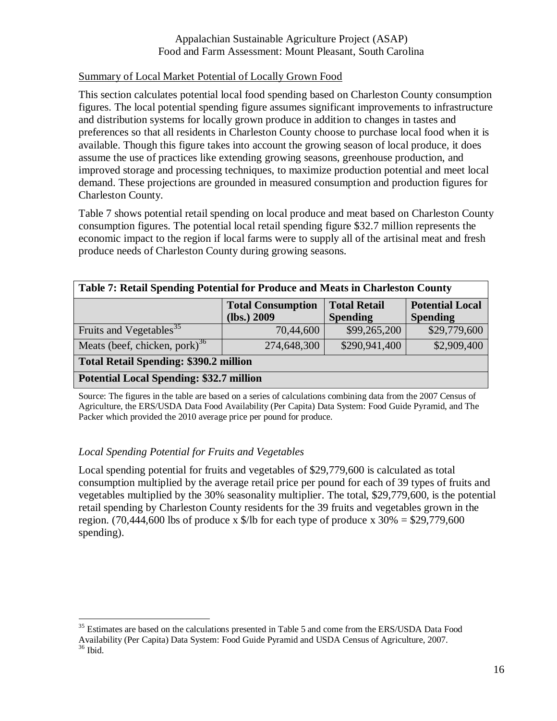#### Summary of Local Market Potential of Locally Grown Food

This section calculates potential local food spending based on Charleston County consumption figures. The local potential spending figure assumes significant improvements to infrastructure and distribution systems for locally grown produce in addition to changes in tastes and preferences so that all residents in Charleston County choose to purchase local food when it is available. Though this figure takes into account the growing season of local produce, it does assume the use of practices like extending growing seasons, greenhouse production, and improved storage and processing techniques, to maximize production potential and meet local demand. These projections are grounded in measured consumption and production figures for Charleston County.

Table 7 shows potential retail spending on local produce and meat based on Charleston County consumption figures. The potential local retail spending figure \$32.7 million represents the economic impact to the region if local farms were to supply all of the artisinal meat and fresh produce needs of Charleston County during growing seasons.

| Table 7: Retail Spending Potential for Produce and Meats in Charleston County                                                  |             |               |              |  |  |  |
|--------------------------------------------------------------------------------------------------------------------------------|-------------|---------------|--------------|--|--|--|
| <b>Potential Local</b><br><b>Total Consumption</b><br><b>Total Retail</b><br>(lbs.) 2009<br><b>Spending</b><br><b>Spending</b> |             |               |              |  |  |  |
| Fruits and Vegetables <sup>35</sup>                                                                                            | 70,44,600   | \$99,265,200  | \$29,779,600 |  |  |  |
| Meats (beef, chicken, pork) $^{36}$                                                                                            | 274,648,300 | \$290,941,400 | \$2,909,400  |  |  |  |
| <b>Total Retail Spending: \$390.2 million</b>                                                                                  |             |               |              |  |  |  |
| <b>Potential Local Spending: \$32.7 million</b>                                                                                |             |               |              |  |  |  |

Source: The figures in the table are based on a series of calculations combining data from the 2007 Census of Agriculture, the ERS/USDA Data Food Availability (Per Capita) Data System: Food Guide Pyramid, and The Packer which provided the 2010 average price per pound for produce.

#### *Local Spending Potential for Fruits and Vegetables*

 $\overline{a}$ 

Local spending potential for fruits and vegetables of \$29,779,600 is calculated as total consumption multiplied by the average retail price per pound for each of 39 types of fruits and vegetables multiplied by the 30% seasonality multiplier. The total, \$29,779,600, is the potential retail spending by Charleston County residents for the 39 fruits and vegetables grown in the region. (70,444,600 lbs of produce x  $\frac{1}{2}$ /lb for each type of produce x 30% = \$29,779,600 spending).

<sup>&</sup>lt;sup>35</sup> Estimates are based on the calculations presented in Table 5 and come from the ERS/USDA Data Food Availability (Per Capita) Data System: Food Guide Pyramid and USDA Census of Agriculture, 2007.  $36$  Ibid.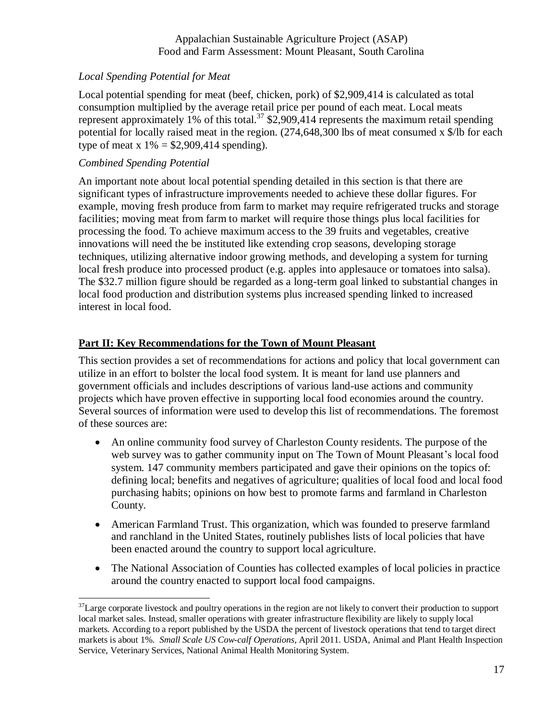# *Local Spending Potential for Meat*

Local potential spending for meat (beef, chicken, pork) of \$2,909,414 is calculated as total consumption multiplied by the average retail price per pound of each meat. Local meats represent approximately 1% of this total.<sup>37</sup> \$2,909,414 represents the maximum retail spending potential for locally raised meat in the region. (274,648,300 lbs of meat consumed x \$/lb for each type of meat x  $1\% = $2,909,414$  spending).

#### *Combined Spending Potential*

 $\overline{a}$ 

An important note about local potential spending detailed in this section is that there are significant types of infrastructure improvements needed to achieve these dollar figures. For example, moving fresh produce from farm to market may require refrigerated trucks and storage facilities; moving meat from farm to market will require those things plus local facilities for processing the food. To achieve maximum access to the 39 fruits and vegetables, creative innovations will need the be instituted like extending crop seasons, developing storage techniques, utilizing alternative indoor growing methods, and developing a system for turning local fresh produce into processed product (e.g. apples into applesauce or tomatoes into salsa). The \$32.7 million figure should be regarded as a long-term goal linked to substantial changes in local food production and distribution systems plus increased spending linked to increased interest in local food.

# **Part II: Key Recommendations for the Town of Mount Pleasant**

This section provides a set of recommendations for actions and policy that local government can utilize in an effort to bolster the local food system. It is meant for land use planners and government officials and includes descriptions of various land-use actions and community projects which have proven effective in supporting local food economies around the country. Several sources of information were used to develop this list of recommendations. The foremost of these sources are:

- An online community food survey of Charleston County residents. The purpose of the web survey was to gather community input on The Town of Mount Pleasant's local food system. 147 community members participated and gave their opinions on the topics of: defining local; benefits and negatives of agriculture; qualities of local food and local food purchasing habits; opinions on how best to promote farms and farmland in Charleston County.
- American Farmland Trust. This organization, which was founded to preserve farmland and ranchland in the United States, routinely publishes lists of local policies that have been enacted around the country to support local agriculture.
- The National Association of Counties has collected examples of local policies in practice around the country enacted to support local food campaigns.

 $37$ Large corporate livestock and poultry operations in the region are not likely to convert their production to support local market sales. Instead, smaller operations with greater infrastructure flexibility are likely to supply local markets. According to a report published by the USDA the percent of livestock operations that tend to target direct markets is about 1%. *Small Scale US Cow-calf Operations,* April 2011. USDA, Animal and Plant Health Inspection Service, Veterinary Services, National Animal Health Monitoring System.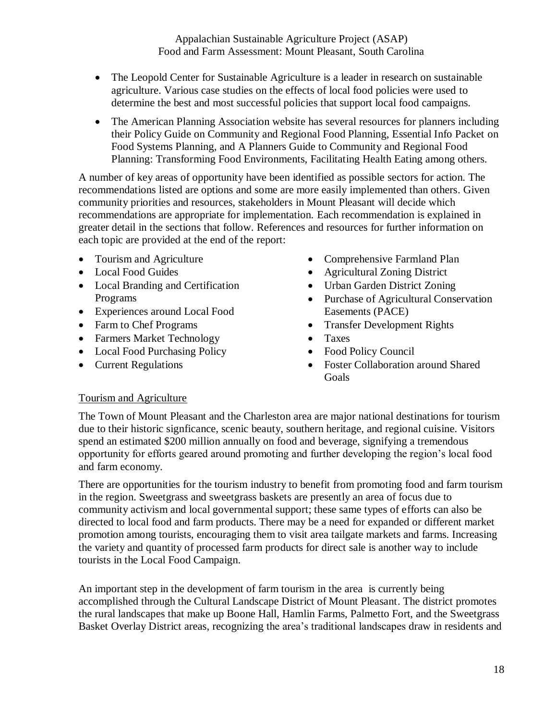- The Leopold Center for Sustainable Agriculture is a leader in research on sustainable agriculture. Various case studies on the effects of local food policies were used to determine the best and most successful policies that support local food campaigns.
- The American Planning Association website has several resources for planners including their Policy Guide on Community and Regional Food Planning, Essential Info Packet on Food Systems Planning, and A Planners Guide to Community and Regional Food Planning: Transforming Food Environments, Facilitating Health Eating among others.

A number of key areas of opportunity have been identified as possible sectors for action. The recommendations listed are options and some are more easily implemented than others. Given community priorities and resources, stakeholders in Mount Pleasant will decide which recommendations are appropriate for implementation. Each recommendation is explained in greater detail in the sections that follow. References and resources for further information on each topic are provided at the end of the report:

- Tourism and Agriculture
- Local Food Guides
- Local Branding and Certification Programs
- Experiences around Local Food
- Farm to Chef Programs
- Farmers Market Technology
- Local Food Purchasing Policy
- Current Regulations
- Comprehensive Farmland Plan
- Agricultural Zoning District
- Urban Garden District Zoning
- Purchase of Agricultural Conservation Easements (PACE)
- Transfer Development Rights
- Taxes
- Food Policy Council
- Foster Collaboration around Shared Goals

#### Tourism and Agriculture

The Town of Mount Pleasant and the Charleston area are major national destinations for tourism due to their historic signficance, scenic beauty, southern heritage, and regional cuisine. Visitors spend an estimated \$200 million annually on food and beverage, signifying a tremendous opportunity for efforts geared around promoting and further developing the region's local food and farm economy.

There are opportunities for the tourism industry to benefit from promoting food and farm tourism in the region. Sweetgrass and sweetgrass baskets are presently an area of focus due to community activism and local governmental support; these same types of efforts can also be directed to local food and farm products. There may be a need for expanded or different market promotion among tourists, encouraging them to visit area tailgate markets and farms. Increasing the variety and quantity of processed farm products for direct sale is another way to include tourists in the Local Food Campaign.

An important step in the development of farm tourism in the area is currently being accomplished through the Cultural Landscape District of Mount Pleasant. The district promotes the rural landscapes that make up Boone Hall, Hamlin Farms, Palmetto Fort, and the Sweetgrass Basket Overlay District areas, recognizing the area's traditional landscapes draw in residents and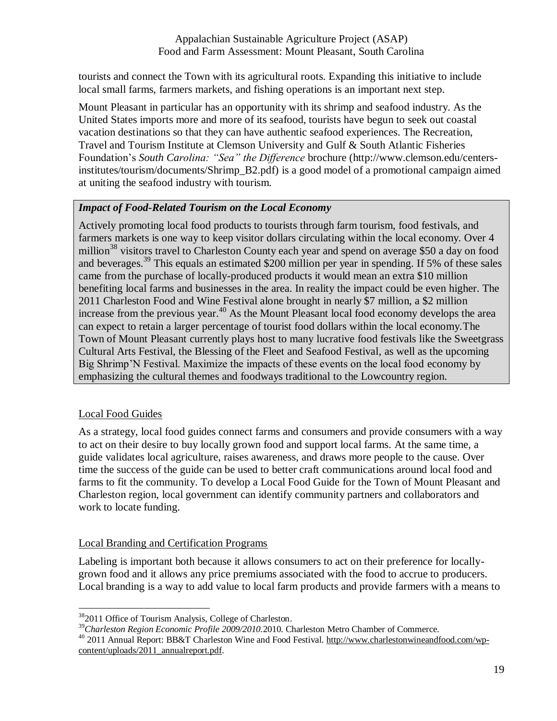tourists and connect the Town with its agricultural roots. Expanding this initiative to include local small farms, farmers markets, and fishing operations is an important next step.

Mount Pleasant in particular has an opportunity with its shrimp and seafood industry. As the United States imports more and more of its seafood, tourists have begun to seek out coastal vacation destinations so that they can have authentic seafood experiences. The Recreation, Travel and Tourism Institute at Clemson University and Gulf & South Atlantic Fisheries Foundation's *South Carolina: "Sea" the Difference* brochure [\(http://www.clemson.edu/centers](http://www.clemson.edu/centers-institutes/tourism/documents/Shrimp_B2.pdf)[institutes/tourism/documents/Shrimp\\_B2.pdf\)](http://www.clemson.edu/centers-institutes/tourism/documents/Shrimp_B2.pdf) is a good model of a promotional campaign aimed at uniting the seafood industry with tourism.

# *Impact of Food-Related Tourism on the Local Economy*

Actively promoting local food products to tourists through farm tourism, food festivals, and farmers markets is one way to keep visitor dollars circulating within the local economy. Over 4 million<sup>38</sup> visitors travel to Charleston County each year and spend on average \$50 a day on food and beverages.<sup>39</sup> This equals an estimated \$200 million per year in spending. If 5% of these sales came from the purchase of locally-produced products it would mean an extra \$10 million benefiting local farms and businesses in the area. In reality the impact could be even higher. The 2011 Charleston Food and Wine Festival alone brought in nearly \$7 million, a \$2 million increase from the previous year. $40$  As the Mount Pleasant local food economy develops the area can expect to retain a larger percentage of tourist food dollars within the local economy.The Town of Mount Pleasant currently plays host to many lucrative food festivals like the Sweetgrass Cultural Arts Festival, the Blessing of the Fleet and Seafood Festival, as well as the upcoming Big Shrimp'N Festival. Maximize the impacts of these events on the local food economy by emphasizing the cultural themes and foodways traditional to the Lowcountry region.

#### Local Food Guides

 $\overline{a}$ 

As a strategy, local food guides connect farms and consumers and provide consumers with a way to act on their desire to buy locally grown food and support local farms. At the same time, a guide validates local agriculture, raises awareness, and draws more people to the cause. Over time the success of the guide can be used to better craft communications around local food and farms to fit the community. To develop a Local Food Guide for the Town of Mount Pleasant and Charleston region, local government can identify community partners and collaborators and work to locate funding.

#### Local Branding and Certification Programs

Labeling is important both because it allows consumers to act on their preference for locallygrown food and it allows any price premiums associated with the food to accrue to producers. Local branding is a way to add value to local farm products and provide farmers with a means to

<sup>38</sup>2011 Office of Tourism Analysis, College of Charleston.

<sup>39</sup>*Charleston Region Economic Profile 2009/2010.*2010. Charleston Metro Chamber of Commerce.

<sup>&</sup>lt;sup>40</sup> 2011 Annual Report: BB&T Charleston Wine and Food Festival[. http://www.charlestonwineandfood.com/wp](http://www.charlestonwineandfood.com/wp-content/uploads/2011_annualreport.pdf)[content/uploads/2011\\_annualreport.pdf.](http://www.charlestonwineandfood.com/wp-content/uploads/2011_annualreport.pdf)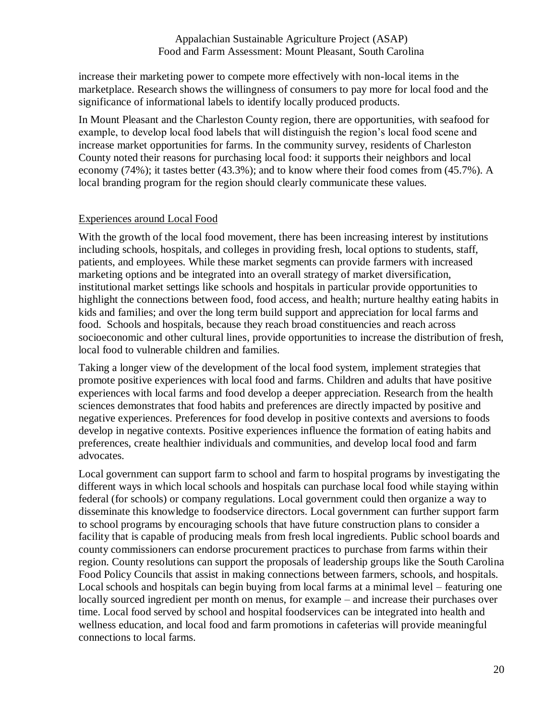increase their marketing power to compete more effectively with non-local items in the marketplace. Research shows the willingness of consumers to pay more for local food and the significance of informational labels to identify locally produced products.

In Mount Pleasant and the Charleston County region, there are opportunities, with seafood for example, to develop local food labels that will distinguish the region's local food scene and increase market opportunities for farms. In the community survey, residents of Charleston County noted their reasons for purchasing local food: it supports their neighbors and local economy (74%); it tastes better (43.3%); and to know where their food comes from (45.7%). A local branding program for the region should clearly communicate these values.

#### Experiences around Local Food

With the growth of the local food movement, there has been increasing interest by institutions including schools, hospitals, and colleges in providing fresh, local options to students, staff, patients, and employees. While these market segments can provide farmers with increased marketing options and be integrated into an overall strategy of market diversification, institutional market settings like schools and hospitals in particular provide opportunities to highlight the connections between food, food access, and health; nurture healthy eating habits in kids and families; and over the long term build support and appreciation for local farms and food. Schools and hospitals, because they reach broad constituencies and reach across socioeconomic and other cultural lines, provide opportunities to increase the distribution of fresh, local food to vulnerable children and families.

Taking a longer view of the development of the local food system, implement strategies that promote positive experiences with local food and farms. Children and adults that have positive experiences with local farms and food develop a deeper appreciation. Research from the health sciences demonstrates that food habits and preferences are directly impacted by positive and negative experiences. Preferences for food develop in positive contexts and aversions to foods develop in negative contexts. Positive experiences influence the formation of eating habits and preferences, create healthier individuals and communities, and develop local food and farm advocates.

Local government can support farm to school and farm to hospital programs by investigating the different ways in which local schools and hospitals can purchase local food while staying within federal (for schools) or company regulations. Local government could then organize a way to disseminate this knowledge to foodservice directors. Local government can further support farm to school programs by encouraging schools that have future construction plans to consider a facility that is capable of producing meals from fresh local ingredients. Public school boards and county commissioners can endorse procurement practices to purchase from farms within their region. County resolutions can support the proposals of leadership groups like the South Carolina Food Policy Councils that assist in making connections between farmers, schools, and hospitals. Local schools and hospitals can begin buying from local farms at a minimal level – featuring one locally sourced ingredient per month on menus, for example – and increase their purchases over time. Local food served by school and hospital foodservices can be integrated into health and wellness education, and local food and farm promotions in cafeterias will provide meaningful connections to local farms.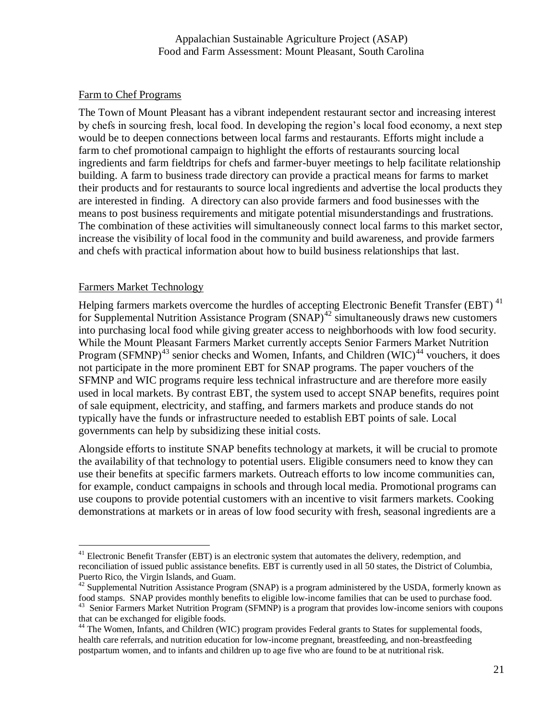#### Farm to Chef Programs

The Town of Mount Pleasant has a vibrant independent restaurant sector and increasing interest by chefs in sourcing fresh, local food. In developing the region's local food economy, a next step would be to deepen connections between local farms and restaurants. Efforts might include a farm to chef promotional campaign to highlight the efforts of restaurants sourcing local ingredients and farm fieldtrips for chefs and farmer-buyer meetings to help facilitate relationship building. A farm to business trade directory can provide a practical means for farms to market their products and for restaurants to source local ingredients and advertise the local products they are interested in finding. A directory can also provide farmers and food businesses with the means to post business requirements and mitigate potential misunderstandings and frustrations. The combination of these activities will simultaneously connect local farms to this market sector, increase the visibility of local food in the community and build awareness, and provide farmers and chefs with practical information about how to build business relationships that last.

#### Farmers Market Technology

 $\overline{a}$ 

Helping farmers markets overcome the hurdles of accepting Electronic Benefit Transfer (EBT)<sup>41</sup> for Supplemental Nutrition Assistance Program  $(SNAP)^{42}$  simultaneously draws new customers into purchasing local food while giving greater access to neighborhoods with low food security. While the Mount Pleasant Farmers Market currently accepts Senior Farmers Market Nutrition Program (SFMNP)<sup>43</sup> senior checks and Women, Infants, and Children (WIC)<sup>44</sup> vouchers, it does not participate in the more prominent EBT for SNAP programs. The paper vouchers of the SFMNP and WIC programs require less technical infrastructure and are therefore more easily used in local markets. By contrast EBT, the system used to accept SNAP benefits, requires point of sale equipment, electricity, and staffing, and farmers markets and produce stands do not typically have the funds or infrastructure needed to establish EBT points of sale. Local governments can help by subsidizing these initial costs.

Alongside efforts to institute SNAP benefits technology at markets, it will be crucial to promote the availability of that technology to potential users. Eligible consumers need to know they can use their benefits at specific farmers markets. Outreach efforts to low income communities can, for example, conduct campaigns in schools and through local media. Promotional programs can use coupons to provide potential customers with an incentive to visit farmers markets. Cooking demonstrations at markets or in areas of low food security with fresh, seasonal ingredients are a

<sup>&</sup>lt;sup>41</sup> Electronic Benefit Transfer (EBT) is an electronic system that automates the delivery, redemption, and reconciliation of issued public assistance benefits. EBT is currently used in all 50 states, the District of Columbia, Puerto Rico, the Virgin Islands, and Guam.

 $42$  Supplemental Nutrition Assistance Program (SNAP) is a program administered by the USDA, formerly known as food stamps. SNAP provides monthly benefits to eligible low-income families that can be used to purchase food.

<sup>&</sup>lt;sup>43</sup> Senior Farmers Market Nutrition Program (SFMNP) is a program that provides low-income seniors with coupons that can be exchanged for eligible foods.

<sup>&</sup>lt;sup>44</sup> The Women, Infants, and Children (WIC) program provides Federal grants to States for supplemental foods, health care referrals, and nutrition education for low-income pregnant, breastfeeding, and non-breastfeeding postpartum women, and to infants and children up to age five who are found to be at nutritional risk.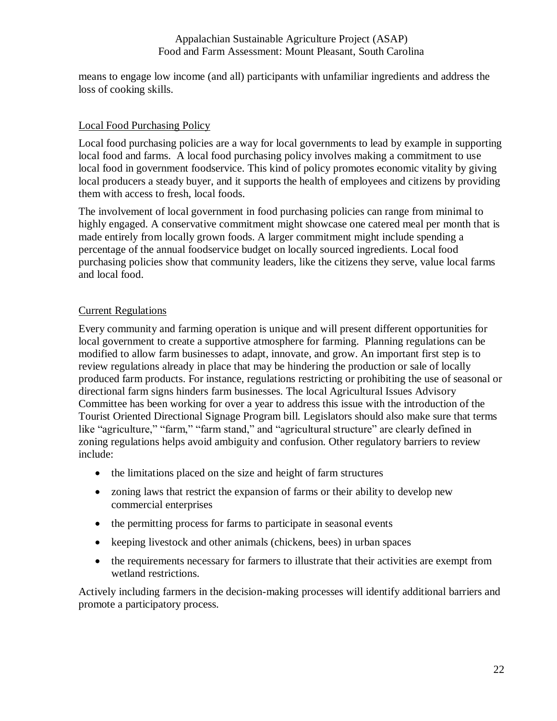means to engage low income (and all) participants with unfamiliar ingredients and address the loss of cooking skills.

#### Local Food Purchasing Policy

Local food purchasing policies are a way for local governments to lead by example in supporting local food and farms. A local food purchasing policy involves making a commitment to use local food in government foodservice. This kind of policy promotes economic vitality by giving local producers a steady buyer, and it supports the health of employees and citizens by providing them with access to fresh, local foods.

The involvement of local government in food purchasing policies can range from minimal to highly engaged. A conservative commitment might showcase one catered meal per month that is made entirely from locally grown foods. A larger commitment might include spending a percentage of the annual foodservice budget on locally sourced ingredients. Local food purchasing policies show that community leaders, like the citizens they serve, value local farms and local food.

#### Current Regulations

Every community and farming operation is unique and will present different opportunities for local government to create a supportive atmosphere for farming. Planning regulations can be modified to allow farm businesses to adapt, innovate, and grow. An important first step is to review regulations already in place that may be hindering the production or sale of locally produced farm products. For instance, regulations restricting or prohibiting the use of seasonal or directional farm signs hinders farm businesses. The local Agricultural Issues Advisory Committee has been working for over a year to address this issue with the introduction of the Tourist Oriented Directional Signage Program bill. Legislators should also make sure that terms like "agriculture," "farm," "farm stand," and "agricultural structure" are clearly defined in zoning regulations helps avoid ambiguity and confusion. Other regulatory barriers to review include:

- the limitations placed on the size and height of farm structures
- zoning laws that restrict the expansion of farms or their ability to develop new commercial enterprises
- the permitting process for farms to participate in seasonal events
- keeping livestock and other animals (chickens, bees) in urban spaces
- the requirements necessary for farmers to illustrate that their activities are exempt from wetland restrictions.

Actively including farmers in the decision-making processes will identify additional barriers and promote a participatory process.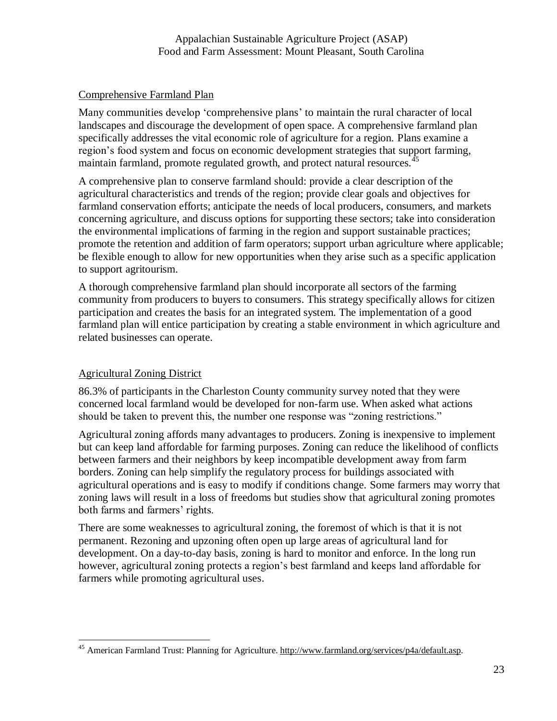#### Comprehensive Farmland Plan

Many communities develop 'comprehensive plans' to maintain the rural character of local landscapes and discourage the development of open space. A comprehensive farmland plan specifically addresses the vital economic role of agriculture for a region. Plans examine a region's food system and focus on economic development strategies that support farming, maintain farmland, promote regulated growth, and protect natural resources.<sup>4</sup>

A comprehensive plan to conserve farmland should: provide a clear description of the agricultural characteristics and trends of the region; provide clear goals and objectives for farmland conservation efforts; anticipate the needs of local producers, consumers, and markets concerning agriculture, and discuss options for supporting these sectors; take into consideration the environmental implications of farming in the region and support sustainable practices; promote the retention and addition of farm operators; support urban agriculture where applicable; be flexible enough to allow for new opportunities when they arise such as a specific application to support agritourism.

A thorough comprehensive farmland plan should incorporate all sectors of the farming community from producers to buyers to consumers. This strategy specifically allows for citizen participation and creates the basis for an integrated system. The implementation of a good farmland plan will entice participation by creating a stable environment in which agriculture and related businesses can operate.

# Agricultural Zoning District

86.3% of participants in the Charleston County community survey noted that they were concerned local farmland would be developed for non-farm use. When asked what actions should be taken to prevent this, the number one response was "zoning restrictions."

Agricultural zoning affords many advantages to producers. Zoning is inexpensive to implement but can keep land affordable for farming purposes. Zoning can reduce the likelihood of conflicts between farmers and their neighbors by keep incompatible development away from farm borders. Zoning can help simplify the regulatory process for buildings associated with agricultural operations and is easy to modify if conditions change. Some farmers may worry that zoning laws will result in a loss of freedoms but studies show that agricultural zoning promotes both farms and farmers' rights.

There are some weaknesses to agricultural zoning, the foremost of which is that it is not permanent. Rezoning and upzoning often open up large areas of agricultural land for development. On a day-to-day basis, zoning is hard to monitor and enforce. In the long run however, agricultural zoning protects a region's best farmland and keeps land affordable for farmers while promoting agricultural uses.

 $\overline{a}$ <sup>45</sup> American Farmland Trust: Planning for Agriculture. [http://www.farmland.org/services/p4a/default.asp.](http://www.farmland.org/services/p4a/default.asp)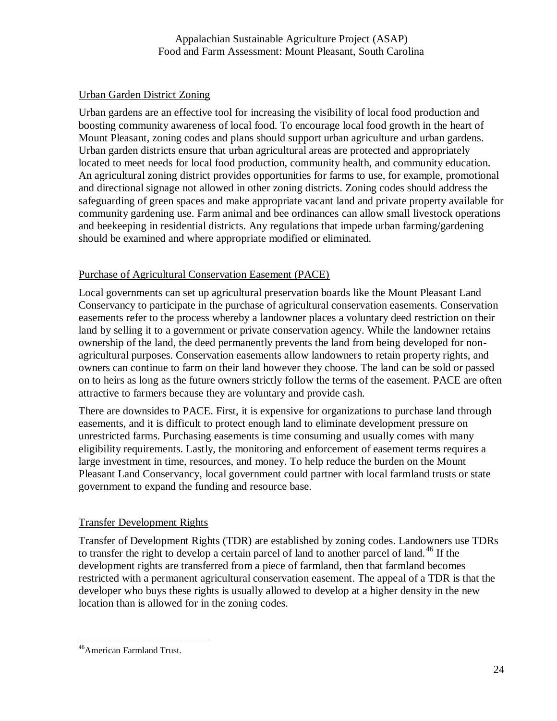# Urban Garden District Zoning

Urban gardens are an effective tool for increasing the visibility of local food production and boosting community awareness of local food. To encourage local food growth in the heart of Mount Pleasant, zoning codes and plans should support urban agriculture and urban gardens. Urban garden districts ensure that urban agricultural areas are protected and appropriately located to meet needs for local food production, community health, and community education. An agricultural zoning district provides opportunities for farms to use, for example, promotional and directional signage not allowed in other zoning districts. Zoning codes should address the safeguarding of green spaces and make appropriate vacant land and private property available for community gardening use. Farm animal and bee ordinances can allow small livestock operations and beekeeping in residential districts. Any regulations that impede urban farming/gardening should be examined and where appropriate modified or eliminated.

#### Purchase of Agricultural Conservation Easement (PACE)

Local governments can set up agricultural preservation boards like the Mount Pleasant Land Conservancy to participate in the purchase of agricultural conservation easements. Conservation easements refer to the process whereby a landowner places a voluntary deed restriction on their land by selling it to a government or private conservation agency. While the landowner retains ownership of the land, the deed permanently prevents the land from being developed for nonagricultural purposes. Conservation easements allow landowners to retain property rights, and owners can continue to farm on their land however they choose. The land can be sold or passed on to heirs as long as the future owners strictly follow the terms of the easement. PACE are often attractive to farmers because they are voluntary and provide cash.

There are downsides to PACE. First, it is expensive for organizations to purchase land through easements, and it is difficult to protect enough land to eliminate development pressure on unrestricted farms. Purchasing easements is time consuming and usually comes with many eligibility requirements. Lastly, the monitoring and enforcement of easement terms requires a large investment in time, resources, and money. To help reduce the burden on the Mount Pleasant Land Conservancy, local government could partner with local farmland trusts or state government to expand the funding and resource base.

#### Transfer Development Rights

Transfer of Development Rights (TDR) are established by zoning codes. Landowners use TDRs to transfer the right to develop a certain parcel of land to another parcel of land.<sup>46</sup> If the development rights are transferred from a piece of farmland, then that farmland becomes restricted with a permanent agricultural conservation easement. The appeal of a TDR is that the developer who buys these rights is usually allowed to develop at a higher density in the new location than is allowed for in the zoning codes.

 $\overline{a}$ 

<sup>46</sup>American Farmland Trust.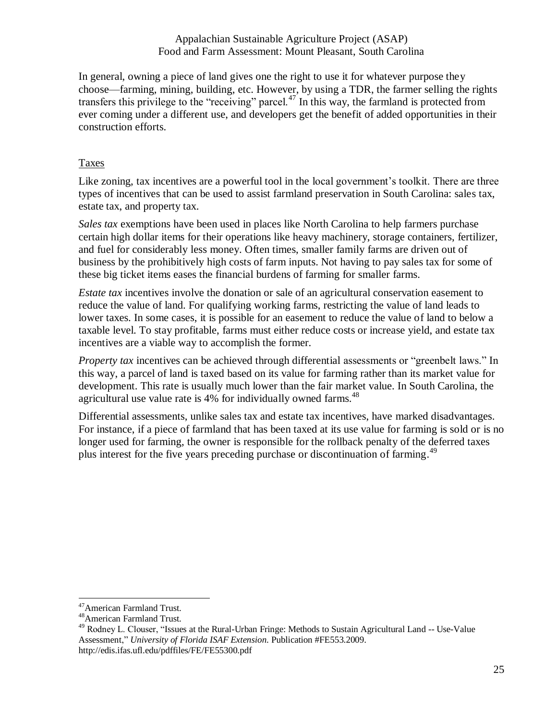In general, owning a piece of land gives one the right to use it for whatever purpose they choose—farming, mining, building, etc. However, by using a TDR, the farmer selling the rights transfers this privilege to the "receiving" parcel.<sup>47</sup> In this way, the farmland is protected from ever coming under a different use, and developers get the benefit of added opportunities in their construction efforts.

# Taxes

Like zoning, tax incentives are a powerful tool in the local government's toolkit. There are three types of incentives that can be used to assist farmland preservation in South Carolina: sales tax, estate tax, and property tax.

*Sales tax* exemptions have been used in places like North Carolina to help farmers purchase certain high dollar items for their operations like heavy machinery, storage containers, fertilizer, and fuel for considerably less money. Often times, smaller family farms are driven out of business by the prohibitively high costs of farm inputs. Not having to pay sales tax for some of these big ticket items eases the financial burdens of farming for smaller farms.

*Estate tax* incentives involve the donation or sale of an agricultural conservation easement to reduce the value of land. For qualifying working farms, restricting the value of land leads to lower taxes. In some cases, it is possible for an easement to reduce the value of land to below a taxable level. To stay profitable, farms must either reduce costs or increase yield, and estate tax incentives are a viable way to accomplish the former.

*Property tax* incentives can be achieved through differential assessments or "greenbelt laws." In this way, a parcel of land is taxed based on its value for farming rather than its market value for development. This rate is usually much lower than the fair market value. In South Carolina, the agricultural use value rate is  $4\%$  for individually owned farms.  $48$ 

Differential assessments, unlike sales tax and estate tax incentives, have marked disadvantages. For instance, if a piece of farmland that has been taxed at its use value for farming is sold or is no longer used for farming, the owner is responsible for the rollback penalty of the deferred taxes plus interest for the five years preceding purchase or discontinuation of farming.<sup>49</sup>

 $\overline{a}$ <sup>47</sup>American Farmland Trust.

<sup>48</sup>American Farmland Trust.

<sup>&</sup>lt;sup>49</sup> Rodney L. Clouser, "Issues at the Rural-Urban Fringe: Methods to Sustain Agricultural Land -- Use-Value Assessment," *University of Florida ISAF Extension*. Publication #FE553.2009. http://edis.ifas.ufl.edu/pdffiles/FE/FE55300.pdf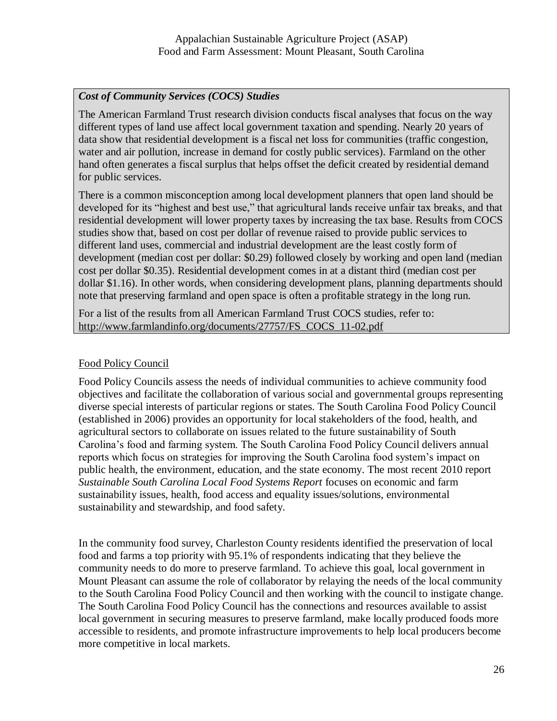# *Cost of Community Services (COCS) Studies*

The American Farmland Trust research division conducts fiscal analyses that focus on the way different types of land use affect local government taxation and spending. Nearly 20 years of data show that residential development is a fiscal net loss for communities (traffic congestion, water and air pollution, increase in demand for costly public services). Farmland on the other hand often generates a fiscal surplus that helps offset the deficit created by residential demand for public services.

There is a common misconception among local development planners that open land should be developed for its "highest and best use," that agricultural lands receive unfair tax breaks, and that residential development will lower property taxes by increasing the tax base. Results from COCS studies show that, based on cost per dollar of revenue raised to provide public services to different land uses, commercial and industrial development are the least costly form of development (median cost per dollar: \$0.29) followed closely by working and open land (median cost per dollar \$0.35). Residential development comes in at a distant third (median cost per dollar \$1.16). In other words, when considering development plans, planning departments should note that preserving farmland and open space is often a profitable strategy in the long run.

For a list of the results from all American Farmland Trust COCS studies, refer to: [http://www.farmlandinfo.org/documents/27757/FS\\_COCS\\_11-02.pdf](http://www.farmlandinfo.org/documents/27757/FS_COCS_11-02.pdf)

#### Food Policy Council

Food Policy Councils assess the needs of individual communities to achieve community food objectives and facilitate the collaboration of various social and governmental groups representing diverse special interests of particular regions or states. The South Carolina Food Policy Council (established in 2006) provides an opportunity for local stakeholders of the food, health, and agricultural sectors to collaborate on issues related to the future sustainability of South Carolina's food and farming system. The South Carolina Food Policy Council delivers annual reports which focus on strategies for improving the South Carolina food system's impact on public health, the environment, education, and the state economy. The most recent 2010 report *Sustainable South Carolina Local Food Systems Report* focuses on economic and farm sustainability issues, health, food access and equality issues/solutions, environmental sustainability and stewardship, and food safety.

In the community food survey, Charleston County residents identified the preservation of local food and farms a top priority with 95.1% of respondents indicating that they believe the community needs to do more to preserve farmland. To achieve this goal, local government in Mount Pleasant can assume the role of collaborator by relaying the needs of the local community to the South Carolina Food Policy Council and then working with the council to instigate change. The South Carolina Food Policy Council has the connections and resources available to assist local government in securing measures to preserve farmland, make locally produced foods more accessible to residents, and promote infrastructure improvements to help local producers become more competitive in local markets.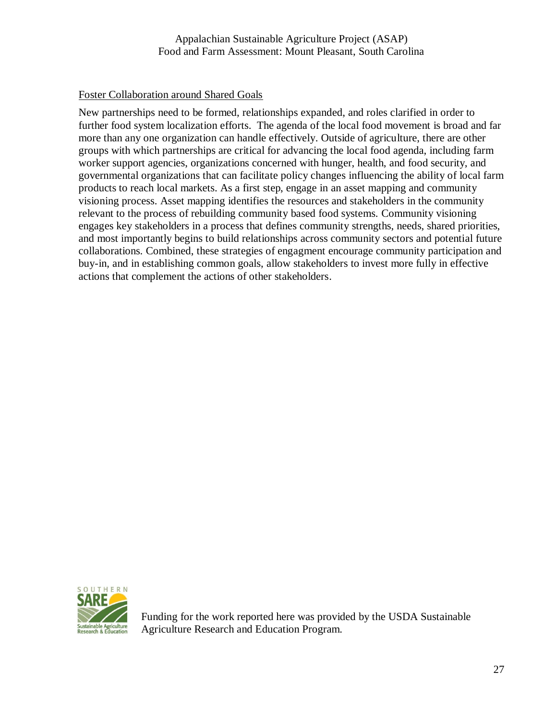#### Foster Collaboration around Shared Goals

New partnerships need to be formed, relationships expanded, and roles clarified in order to further food system localization efforts. The agenda of the local food movement is broad and far more than any one organization can handle effectively. Outside of agriculture, there are other groups with which partnerships are critical for advancing the local food agenda, including farm worker support agencies, organizations concerned with hunger, health, and food security, and governmental organizations that can facilitate policy changes influencing the ability of local farm products to reach local markets. As a first step, engage in an asset mapping and community visioning process. Asset mapping identifies the resources and stakeholders in the community relevant to the process of rebuilding community based food systems. Community visioning engages key stakeholders in a process that defines community strengths, needs, shared priorities, and most importantly begins to build relationships across community sectors and potential future collaborations. Combined, these strategies of engagment encourage community participation and buy-in, and in establishing common goals, allow stakeholders to invest more fully in effective actions that complement the actions of other stakeholders.



Funding for the work reported here was provided by the USDA Sustainable Agriculture Research and Education Program.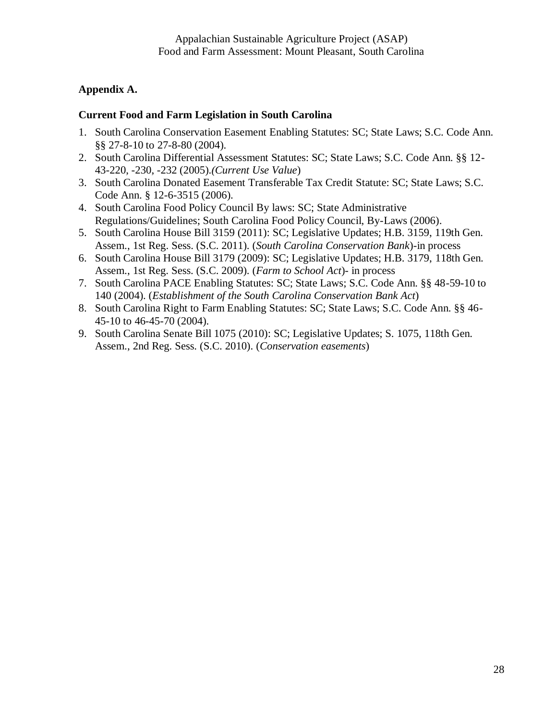# **Appendix A.**

#### **Current Food and Farm Legislation in South Carolina**

- 1. [South Carolina Conservation Easement Enabling Statutes: SC; State Laws; S.C. Code Ann.](http://www.scdhec.gov/environment/baq/docs/ModelOrdinances/SCExamples/ConservationEasements--SouthCarolinaCodeofLaws.pdf)  [§§ 27-8-10 to 27-8-80 \(2004\).](http://www.scdhec.gov/environment/baq/docs/ModelOrdinances/SCExamples/ConservationEasements--SouthCarolinaCodeofLaws.pdf)
- 2. [South Carolina Differential Assessment Statutes: SC; State Laws; S.C. Code Ann. §§ 12-](http://www.statelibrary.sc.gov/scedocs/R322/000567.pdf) [43-220, -230, -232 \(2005\).](http://www.statelibrary.sc.gov/scedocs/R322/000567.pdf)*(Current Use Value*)
- 3. [South Carolina Donated Easement Transferable Tax Credit Statute: SC; State Laws; S.C.](http://www.scstatehouse.gov/code/t12c006.htm)  [Code Ann. § 12-6-3515 \(2006\).](http://www.scstatehouse.gov/code/t12c006.htm)
- 4. [South Carolina Food Policy Council By laws:](http://www.farmlandinfo.org/documents/37899/SC_Food_Policy_Council_by_laws.pdf) SC; State Administrative [Regulations/Guidelines; South Carolina Food Policy Council, By-Laws \(2006\).](http://www.farmlandinfo.org/documents/37899/SC_Food_Policy_Council_by_laws.pdf)
- 5. [South Carolina House Bill 3159 \(2011\): SC; Legislative Updates; H.B. 3159, 119th Gen.](http://www.farmlandinfo.org/farmland_preservation_laws/index.cfm?function=article_view&articleID=38669)  Assem., [1st Reg. Sess. \(S.C. 2011\).](http://www.farmlandinfo.org/farmland_preservation_laws/index.cfm?function=article_view&articleID=38669) (*South Carolina Conservation Bank*)-in process
- 6. [South Carolina House Bill 3179 \(2009\): SC; Legislative Updates; H.B. 3179, 118th Gen.](http://www.farmlandinfo.org/farmland_search/index.cfm?function=article_view&articleID=37520)  [Assem., 1st Reg. Sess. \(S.C. 2009\).](http://www.farmlandinfo.org/farmland_search/index.cfm?function=article_view&articleID=37520) (*Farm to School Act*)- in process
- 7. [South Carolina PACE Enabling Statutes: SC; State Laws; S.C. Code Ann. §§ 48-59-10 to](http://www.scstatehouse.gov/archives/codeoflaws2003/t48c059.htm)  [140 \(2004\).](http://www.scstatehouse.gov/archives/codeoflaws2003/t48c059.htm) (*Establishment of the South Carolina Conservation Bank Act*)
- 8. [South Carolina Right to Farm Enabling Statutes: SC; State Laws; S.C. Code Ann. §§ 46-](http://www.scstatehouse.gov/archives/codeoflaws2003/t46c045.htm) [45-10 to 46-45-70 \(2004\).](http://www.scstatehouse.gov/archives/codeoflaws2003/t46c045.htm)
- 9. [South Carolina Senate Bill 1075 \(2010\): SC; Legislative Updates; S. 1075, 118th Gen.](http://www.farmlandinfo.org/documents/38057/SC_SB_1075.htm)  [Assem., 2nd Reg. Sess. \(S.C. 2010\).](http://www.farmlandinfo.org/documents/38057/SC_SB_1075.htm) (*Conservation easements*)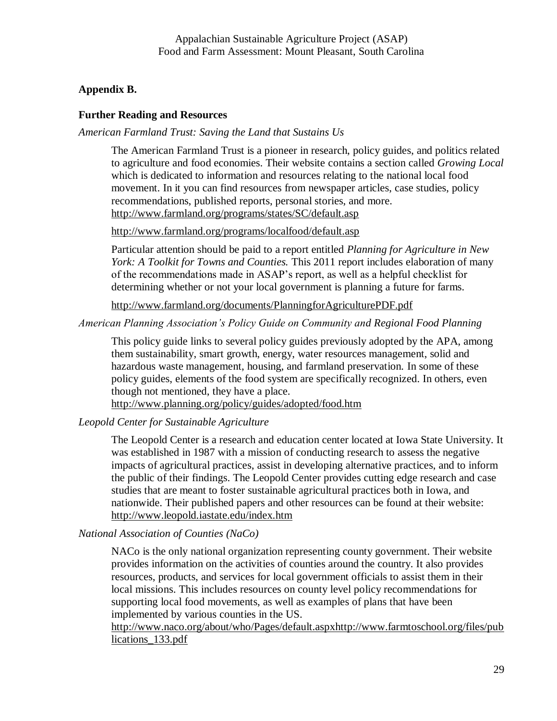#### **Appendix B.**

#### **Further Reading and Resources**

#### *American Farmland Trust: Saving the Land that Sustains Us*

The American Farmland Trust is a pioneer in research, policy guides, and politics related to agriculture and food economies. Their website contains a section called *Growing Local* which is dedicated to information and resources relating to the national local food movement. In it you can find resources from newspaper articles, case studies, policy recommendations, published reports, personal stories, and more. <http://www.farmland.org/programs/states/SC/default.asp>

<http://www.farmland.org/programs/localfood/default.asp>

Particular attention should be paid to a report entitled *Planning for Agriculture in New York: A Toolkit for Towns and Counties.* This 2011 report includes elaboration of many of the recommendations made in ASAP's report, as well as a helpful checklist for determining whether or not your local government is planning a future for farms.

<http://www.farmland.org/documents/PlanningforAgriculturePDF.pdf>

#### *American Planning Association's Policy Guide on Community and Regional Food Planning*

This policy guide links to several policy guides previously adopted by the APA, among them sustainability, smart growth, energy, water resources management, solid and hazardous waste management, housing, and farmland preservation. In some of these policy guides, elements of the food system are specifically recognized. In others, even though not mentioned, they have a place.

<http://www.planning.org/policy/guides/adopted/food.htm>

#### *Leopold Center for Sustainable Agriculture*

The Leopold Center is a research and education center located at Iowa State University. It was established in 1987 with a mission of conducting research to assess the negative impacts of agricultural practices, assist in developing alternative practices, and to inform the public of their findings. The Leopold Center provides cutting edge research and case studies that are meant to foster sustainable agricultural practices both in Iowa, and nationwide. Their published papers and other resources can be found at their website: <http://www.leopold.iastate.edu/index.htm>

*National Association of Counties (NaCo)*

NACo is the only national organization representing county government. Their website provides information on the activities of counties around the country. It also provides resources, products, and services for local government officials to assist them in their local missions. This includes resources on county level policy recommendations for supporting local food movements, as well as examples of plans that have been implemented by various counties in the US.

[http://www.naco.org/about/who/Pages/default.aspxhttp://www.farmtoschool.org/files/pub](http://www.naco.org/about/who/Pages/default.aspx) lications\_133.pdf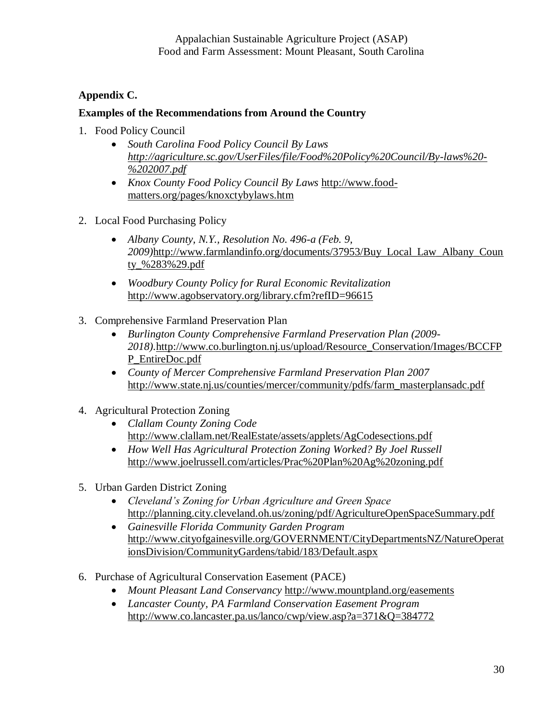# **Appendix C.**

#### **Examples of the Recommendations from Around the Country**

- 1. Food Policy Council
	- *South Carolina Food Policy Council By Laws [http://agriculture.sc.gov/UserFiles/file/Food%20Policy%20Council/By-laws%20-](http://agriculture.sc.gov/UserFiles/file/Food%20Policy%20Council/By-laws%20-%202007.pdf) [%202007.pdf](http://agriculture.sc.gov/UserFiles/file/Food%20Policy%20Council/By-laws%20-%202007.pdf)*
	- *Knox County Food Policy Council By Laws* [http://www.food](http://www.food-matters.org/pages/knoxctybylaws.htm)[matters.org/pages/knoxctybylaws.htm](http://www.food-matters.org/pages/knoxctybylaws.htm)
- 2. Local Food Purchasing Policy
	- *Albany County, N.Y., Resolution No. 496-a (Feb. 9, 2009)*[http://www.farmlandinfo.org/documents/37953/Buy\\_Local\\_Law\\_Albany\\_Coun](http://www.farmlandinfo.org/documents/37953/Buy_Local_Law_Albany_County_%283%29.pdf) [ty\\_%283%29.pdf](http://www.farmlandinfo.org/documents/37953/Buy_Local_Law_Albany_County_%283%29.pdf)
	- *Woodbury County Policy for Rural Economic Revitalization*  <http://www.agobservatory.org/library.cfm?refID=96615>
- 3. Comprehensive Farmland Preservation Plan
	- *Burlington County Comprehensive Farmland Preservation Plan (2009- 2018).*[http://www.co.burlington.nj.us/upload/Resource\\_Conservation/Images/BCCFP](http://www.co.burlington.nj.us/upload/Resource_Conservation/Images/BCCFPP_EntireDoc.pdf) [P\\_EntireDoc.pdf](http://www.co.burlington.nj.us/upload/Resource_Conservation/Images/BCCFPP_EntireDoc.pdf)
	- *County of Mercer Comprehensive Farmland Preservation Plan 2007* [http://www.state.nj.us/counties/mercer/community/pdfs/farm\\_masterplansadc.pdf](http://www.state.nj.us/counties/mercer/community/pdfs/farm_masterplansadc.pdf)
- 4. Agricultural Protection Zoning
	- *Clallam County Zoning Code*  <http://www.clallam.net/RealEstate/assets/applets/AgCodesections.pdf>
	- *How Well Has Agricultural Protection Zoning Worked? By Joel Russell*  <http://www.joelrussell.com/articles/Prac%20Plan%20Ag%20zoning.pdf>
- 5. Urban Garden District Zoning
	- *Cleveland's Zoning for Urban Agriculture and Green Space*  <http://planning.city.cleveland.oh.us/zoning/pdf/AgricultureOpenSpaceSummary.pdf>
	- *Gainesville Florida Community Garden Program*  [http://www.cityofgainesville.org/GOVERNMENT/CityDepartmentsNZ/NatureOperat](http://www.cityofgainesville.org/GOVERNMENT/CityDepartmentsNZ/NatureOperationsDivision/CommunityGardens/tabid/183/Default.aspx) [ionsDivision/CommunityGardens/tabid/183/Default.aspx](http://www.cityofgainesville.org/GOVERNMENT/CityDepartmentsNZ/NatureOperationsDivision/CommunityGardens/tabid/183/Default.aspx)
- 6. Purchase of Agricultural Conservation Easement (PACE)
	- *Mount Pleasant Land Conservancy* <http://www.mountpland.org/easements>
	- *Lancaster County, PA Farmland Conservation Easement Program*  <http://www.co.lancaster.pa.us/lanco/cwp/view.asp?a=371&Q=384772>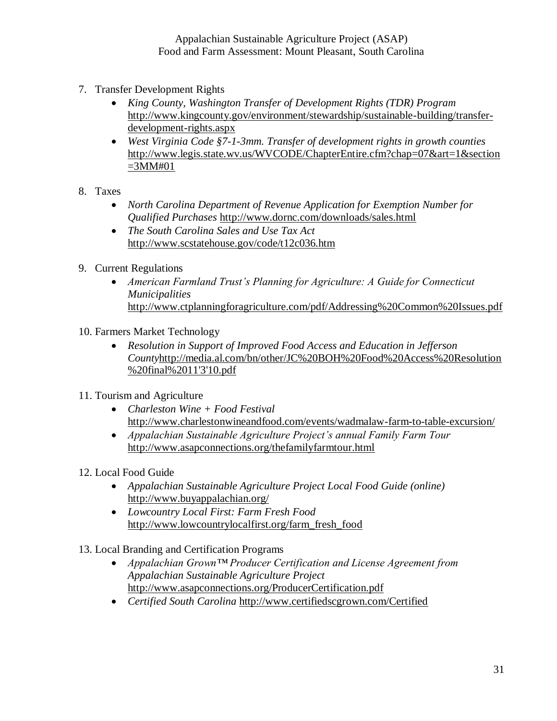- 7. Transfer Development Rights
	- *King County, Washington Transfer of Development Rights (TDR) Program*  [http://www.kingcounty.gov/environment/stewardship/sustainable-building/transfer](http://www.kingcounty.gov/environment/stewardship/sustainable-building/transfer-development-rights.aspx)[development-rights.aspx](http://www.kingcounty.gov/environment/stewardship/sustainable-building/transfer-development-rights.aspx)
	- *West Virginia Code §7-1-3mm. Transfer of development rights in growth counties*  [http://www.legis.state.wv.us/WVCODE/ChapterEntire.cfm?chap=07&art=1&section](http://www.legis.state.wv.us/WVCODE/ChapterEntire.cfm?chap=07&art=1§ion=3MM#01)  $=3$ MM#01
- 8. Taxes
	- *North Carolina Department of Revenue Application for Exemption Number for Qualified Purchases* <http://www.dornc.com/downloads/sales.html>
	- *The South Carolina Sales and Use Tax Act*  <http://www.scstatehouse.gov/code/t12c036.htm>
- 9. Current Regulations
	- *American Farmland Trust's Planning for Agriculture: A Guide for Connecticut Municipalities* <http://www.ctplanningforagriculture.com/pdf/Addressing%20Common%20Issues.pdf>
- 10. Farmers Market Technology
	- *Resolution in Support of Improved Food Access and Education in Jefferson County*[http://media.al.com/bn/other/JC%20BOH%20Food%20Access%20Resolution](http://media.al.com/bn/other/JC%20BOH%20Food%20Access%20Resolution%20final%2011) [%20final%2011'3'10.pdf](http://media.al.com/bn/other/JC%20BOH%20Food%20Access%20Resolution%20final%2011)
- 11. Tourism and Agriculture
	- *Charleston Wine + Food Festival*  <http://www.charlestonwineandfood.com/events/wadmalaw-farm-to-table-excursion/>
	- *Appalachian Sustainable Agriculture Project's annual Family Farm Tour*  <http://www.asapconnections.org/thefamilyfarmtour.html>
- 12. Local Food Guide
	- *Appalachian Sustainable Agriculture Project Local Food Guide (online)*  <http://www.buyappalachian.org/>
	- *Lowcountry Local First: Farm Fresh Food*  [http://www.lowcountrylocalfirst.org/farm\\_fresh\\_food](http://www.lowcountrylocalfirst.org/farm_fresh_food)
- 13. Local Branding and Certification Programs
	- *Appalachian Grown™ Producer Certification and License Agreement from Appalachian Sustainable Agriculture Project*  <http://www.asapconnections.org/ProducerCertification.pdf>
	- *Certified South Carolina* <http://www.certifiedscgrown.com/Certified>